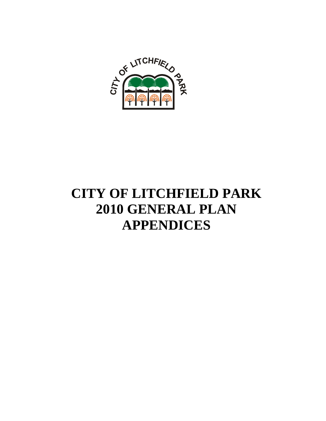

# **CITY OF LITCHFIELD PARK 2010 GENERAL PLAN APPENDICES**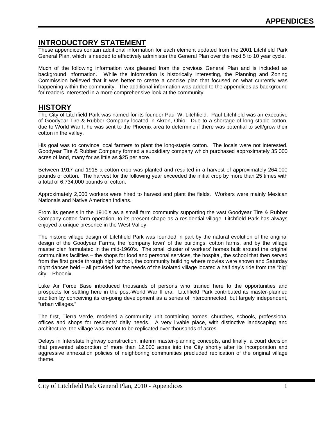## **INTRODUCTORY STATEMENT**

These appendices contain additional information for each element updated from the 2001 Litchfield Park General Plan, which is needed to effectively administer the General Plan over the next 5 to 10 year cycle.

Much of the following information was gleaned from the previous General Plan and is included as background information. While the information is historically interesting, the Planning and Zoning Commission believed that it was better to create a concise plan that focused on what currently was happening within the community. The additional information was added to the appendices as background for readers interested in a more comprehensive look at the community.

## **HISTORY**

The City of Litchfield Park was named for its founder Paul W. Litchfield. Paul Litchfield was an executive of Goodyear Tire & Rubber Company located in Akron, Ohio. Due to a shortage of long staple cotton, due to World War I, he was sent to the Phoenix area to determine if there was potential to sell/grow their cotton in the valley.

His goal was to convince local farmers to plant the long-staple cotton. The locals were not interested. Goodyear Tire & Rubber Company formed a subsidiary company which purchased approximately 35,000 acres of land, many for as little as \$25 per acre.

Between 1917 and 1918 a cotton crop was planted and resulted in a harvest of approximately 264,000 pounds of cotton. The harvest for the following year exceeded the initial crop by more than 25 times with a total of 6,734,000 pounds of cotton.

Approximately 2,000 workers were hired to harvest and plant the fields. Workers were mainly Mexican Nationals and Native American Indians.

From its genesis in the 1910's as a small farm community supporting the vast Goodyear Tire & Rubber Company cotton farm operation, to its present shape as a residential village, Litchfield Park has always enjoyed a unique presence in the West Valley.

The historic village design of Litchfield Park was founded in part by the natural evolution of the original design of the Goodyear Farms, the 'company town' of the buildings, cotton farms, and by the village master plan formulated in the mid-1960's. The small cluster of workers' homes built around the original communities facilities – the shops for food and personal services, the hospital, the school that then served from the first grade through high school, the community building where movies were shown and Saturday night dances held – all provided for the needs of the isolated village located a half day's ride from the "big" city – Phoenix.

Luke Air Force Base introduced thousands of persons who trained here to the opportunities and prospects for settling here in the post-World War II era. Litchfield Park contributed its master-planned tradition by conceiving its on-going development as a series of interconnected, but largely independent, "urban villages."

The first, Tierra Verde, modeled a community unit containing homes, churches, schools, professional offices and shops for residents' daily needs. A very livable place, with distinctive landscaping and architecture, the village was meant to be replicated over thousands of acres.

Delays in Interstate highway construction, interim master-planning concepts, and finally, a court decision that prevented absorption of more than 12,000 acres into the City shortly after its incorporation and aggressive annexation policies of neighboring communities precluded replication of the original village theme.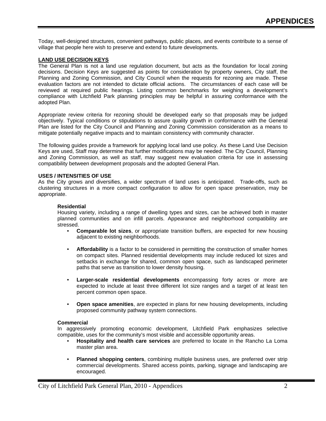Today, well-designed structures, convenient pathways, public places, and events contribute to a sense of village that people here wish to preserve and extend to future developments.

#### **LAND USE DECISION KEYS**

The General Plan is not a land use regulation document, but acts as the foundation for local zoning decisions. Decision Keys are suggested as points for consideration by property owners, City staff, the Planning and Zoning Commission, and City Council when the requests for rezoning are made. These evaluation factors are not intended to dictate official actions. The circumstances of each case will be reviewed at required public hearings. Listing common benchmarks for weighing a development's compliance with Litchfield Park planning principles may be helpful in assuring conformance with the adopted Plan.

Appropriate review criteria for rezoning should be developed early so that proposals may be judged objectively. Typical conditions or stipulations to assure quality growth in conformance with the General Plan are listed for the City Council and Planning and Zoning Commission consideration as a means to mitigate potentially negative impacts and to maintain consistency with community character.

The following guides provide a framework for applying local land use policy. As these Land Use Decision Keys are used, Staff may determine that further modifications may be needed. The City Council, Planning and Zoning Commission, as well as staff, may suggest new evaluation criteria for use in assessing compatibility between development proposals and the adopted General Plan.

#### **USES / INTENSITIES OF USE**

As the City grows and diversifies, a wider spectrum of land uses is anticipated. Trade-offs, such as clustering structures in a more compact configuration to allow for open space preservation, may be appropriate.

#### **Residential**

Housing variety, including a range of dwelling types and sizes, can be achieved both in master planned communities and on infill parcels. Appearance and neighborhood compatibility are stressed.

- **Comparable lot sizes**, or appropriate transition buffers, are expected for new housing adjacent to existing neighborhoods.
- **Affordability** is a factor to be considered in permitting the construction of smaller homes on compact sites. Planned residential developments may include reduced lot sizes and setbacks in exchange for shared, common open space, such as landscaped perimeter paths that serve as transition to lower density housing.
- **Larger-scale residential developments** encompassing forty acres or more are expected to include at least three different lot size ranges and a target of at least ten percent common open space.
- **Open space amenities**, are expected in plans for new housing developments, including proposed community pathway system connections.

#### **Commercial**

In aggressively promoting economic development, Litchfield Park emphasizes selective compatible, uses for the community's most visible and accessible opportunity areas.

- **Hospitality and health care services** are preferred to locate in the Rancho La Loma master plan area.
- **Planned shopping centers**, combining multiple business uses, are preferred over strip commercial developments. Shared access points, parking, signage and landscaping are encouraged.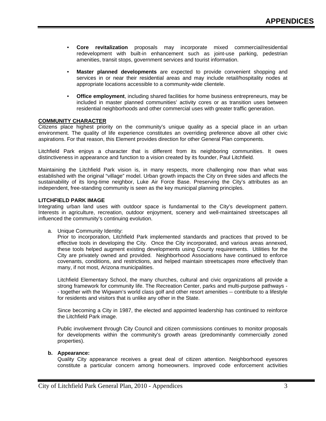- **Core revitalization** proposals may incorporate mixed commercial/residential redevelopment with built-in enhancement such as joint-use parking, pedestrian amenities, transit stops, government services and tourist information.
- **Master planned developments** are expected to provide convenient shopping and services in or near their residential areas and may include retail/hospitality nodes at appropriate locations accessible to a community-wide clientele.
- **Office employment**, including shared facilities for home business entrepreneurs, may be included in master planned communities' activity cores or as transition uses between residential neighborhoods and other commercial uses with greater traffic generation.

#### **COMMUNITY CHARACTER**

Citizens place highest priority on the community's unique quality as a special place in an urban environment. The quality of life experience constitutes an overriding preference above all other civic aspirations. For that reason, this Element provides direction for other General Plan components.

Litchfield Park enjoys a character that is different from its neighboring communities. It owes distinctiveness in appearance and function to a vision created by its founder, Paul Litchfield.

Maintaining the Litchfield Park vision is, in many respects, more challenging now than what was established with the original "village" model. Urban growth impacts the City on three sides and affects the sustainability of its long-time neighbor, Luke Air Force Base. Preserving the City's attributes as an independent, free-standing community is seen as the key municipal planning principles.

#### **LITCHFIELD PARK IMAGE**

Integrating urban land uses with outdoor space is fundamental to the City's development pattern. Interests in agriculture, recreation, outdoor enjoyment, scenery and well-maintained streetscapes all influenced the community's continuing evolution.

a. Unique Community Identity:

Prior to incorporation, Litchfield Park implemented standards and practices that proved to be effective tools in developing the City. Once the City incorporated, and various areas annexed, these tools helped augment existing developments using County requirements. Utilities for the City are privately owned and provided. Neighborhood Associations have continued to enforce covenants, conditions, and restrictions, and helped maintain streetscapes more effectively than many, if not most, Arizona municipalities.

Litchfield Elementary School, the many churches, cultural and civic organizations all provide a strong framework for community life. The Recreation Center, parks and multi-purpose pathways - - together with the Wigwam's world class golf and other resort amenities -- contribute to a lifestyle for residents and visitors that is unlike any other in the State.

Since becoming a City in 1987, the elected and appointed leadership has continued to reinforce the Litchfield Park image.

Public involvement through City Council and citizen commissions continues to monitor proposals for developments within the community's growth areas (predominantly commercially zoned properties).

#### **b. Appearance:**

Quality City appearance receives a great deal of citizen attention. Neighborhood eyesores constitute a particular concern among homeowners. Improved code enforcement activities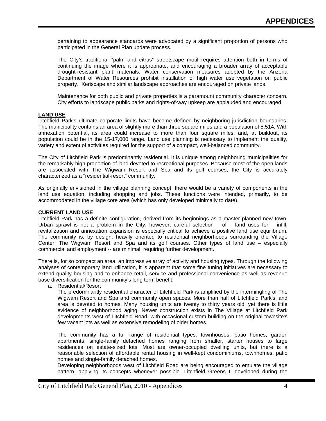pertaining to appearance standards were advocated by a significant proportion of persons who participated in the General Plan update process.

The City's traditional "palm and citrus" streetscape motif requires attention both in terms of continuing the image where it is appropriate, and encouraging a broader array of acceptable drought-resistant plant materials. Water conservation measures adopted by the Arizona Department of Water Resources prohibit installation of high water use vegetation on public property. Xeriscape and similar landscape approaches are encouraged on private lands.

Maintenance for both public and private properties is a paramount community character concern. City efforts to landscape public parks and rights-of-way upkeep are applauded and encouraged.

#### **LAND USE**

Litchfield Park's ultimate corporate limits have become defined by neighboring jurisdiction boundaries. The municipality contains an area of slightly more than three square miles and a population of 5,514. With annexation potential, its area could increase to more than four square miles; and, at buildout, its population could be in the 15-17,000 range. Land use planning is necessary to implement the quality, variety and extent of activities required for the support of a compact, well-balanced community.

The City of Litchfield Park is predominantly residential. It is unique among neighboring municipalities for the remarkably high proportion of land devoted to recreational purposes. Because most of the open lands are associated with The Wigwam Resort and Spa and its golf courses, the City is accurately characterized as a "residential-resort" community.

As originally envisioned in the village planning concept, there would be a variety of components in the land use equation, including shopping and jobs. These functions were intended, primarily, to be accommodated in the village core area (which has only developed minimally to date).

#### **CURRENT LAND USE**

Litchfield Park has a definite configuration, derived from its beginnings as a master planned new town. Urban sprawl is not a problem in the City; however, careful selection of land uses for infill, revitalization and annexation expansion is especially critical to achieve a positive land use equilibrium. The community is, by design, heavily oriented to residential neighborhoods surrounding the Village Center, The Wigwam Resort and Spa and its golf courses. Other types of land use – especially commercial and employment -- are minimal, requiring further development.

There is, for so compact an area, an impressive array of activity and housing types. Through the following analyses of contemporary land utilization, it is apparent that some fine tuning initiatives are necessary to extend quality housing and to enhance retail, service and professional convenience as well as revenue base diversification for the community's long term benefit.

a. Residential/Resort

The predominantly residential character of Litchfield Park is amplified by the intermingling of The Wigwam Resort and Spa and community open spaces. More than half of Litchfield Park's land area is devoted to homes. Many housing units are twenty to thirty years old, yet there is little evidence of neighborhood aging. Newer construction exists in The Village at Litchfield Park developments west of Litchfield Road, with occasional custom building on the original townsite's few vacant lots as well as extensive remodeling of older homes.

The community has a full range of residential types: townhouses, patio homes, garden apartments, single-family detached homes ranging from smaller, starter houses to large residences on estate-sized lots. Most are owner-occupied dwelling units, but there is a reasonable selection of affordable rental housing in well-kept condominiums, townhomes, patio homes and single-family detached homes.

Developing neighborhoods west of Litchfield Road are being encouraged to emulate the village pattern, applying its concepts whenever possible. Litchfield Greens I, developed during the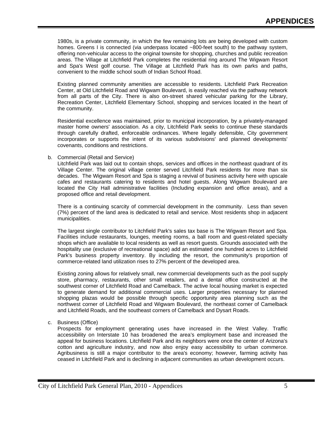1980s, is a private community, in which the few remaining lots are being developed with custom homes. Greens I is connected (via underpass located ~800-feet south) to the pathway system, offering non-vehicular access to the original townsite for shopping, churches and public recreation areas. The Village at Litchfield Park completes the residential ring around The Wigwam Resort and Spa's West golf course. The Village at Litchfield Park has its own parks and paths, convenient to the middle school south of Indian School Road.

Existing planned community amenities are accessible to residents. Litchfield Park Recreation Center, at Old Litchfield Road and Wigwam Boulevard, is easily reached via the pathway network from all parts of the City. There is also on-street shared vehicular parking for the Library, Recreation Center, Litchfield Elementary School, shopping and services located in the heart of the community.

Residential excellence was maintained, prior to municipal incorporation, by a privately-managed master home owners' association. As a city, Litchfield Park seeks to continue these standards through carefully drafted, enforceable ordinances. Where legally defensible, City government incorporates or supports the intent of its various subdivisions' and planned developments' covenants, conditions and restrictions.

#### b. Commercial (Retail and Service)

Litchfield Park was laid out to contain shops, services and offices in the northeast quadrant of its Village Center. The original village center served Litchfield Park residents for more than six decades. The Wigwam Resort and Spa is staging a revival of business activity here with upscale cafes and restaurants catering to residents and hotel guests. Along Wigwam Boulevard are located the City Hall administrative facilities (Including expansion and office areas), and a proposed office and retail development.

There is a continuing scarcity of commercial development in the community. Less than seven (7%) percent of the land area is dedicated to retail and service. Most residents shop in adjacent municipalities.

The largest single contributor to Litchfield Park's sales tax base is The Wigwam Resort and Spa. Facilities include restaurants, lounges, meeting rooms, a ball room and guest-related specialty shops which are available to local residents as well as resort guests. Grounds associated with the hospitality use (exclusive of recreational space) add an estimated one hundred acres to Litchfield Park's business property inventory. By including the resort, the community's proportion of commerce-related land utilization rises to 27% percent of the developed area.

Existing zoning allows for relatively small, new commercial developments such as the pool supply store, pharmacy, restaurants, other small retailers, and a dental office constructed at the southwest corner of Litchfield Road and Camelback. The active local housing market is expected to generate demand for additional commercial uses. Larger properties necessary for planned shopping plazas would be possible through specific opportunity area planning such as the northwest corner of Litchfield Road and Wigwam Boulevard, the northeast corner of Camelback and Litchfield Roads, and the southeast corners of Camelback and Dysart Roads.

c. Business (Office)

Prospects for employment generating uses have increased in the West Valley. Traffic accessibility on Interstate 10 has broadened the area's employment base and increased the appeal for business locations. Litchfield Park and its neighbors were once the center of Arizona's cotton and agriculture industry, and now also enjoy easy accessibility to urban commerce. Agribusiness is still a major contributor to the area's economy; however, farming activity has ceased in Litchfield Park and is declining in adjacent communities as urban development occurs.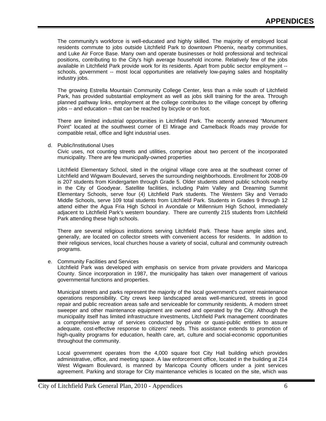The community's workforce is well-educated and highly skilled. The majority of employed local residents commute to jobs outside Litchfield Park to downtown Phoenix, nearby communities, and Luke Air Force Base. Many own and operate businesses or hold professional and technical positions, contributing to the City's high average household income. Relatively few of the jobs available in Litchfield Park provide work for its residents. Apart from public sector employment - schools, government -- most local opportunities are relatively low-paying sales and hospitality industry jobs.

The growing Estrella Mountain Community College Center, less than a mile south of Litchfield Park, has provided substantial employment as well as jobs skill training for the area. Through planned pathway links, employment at the college contributes to the village concept by offering jobs -- and education – that can be reached by bicycle or on foot.

There are limited industrial opportunities in Litchfield Park. The recently annexed "Monument Point" located at the southwest corner of El Mirage and Camelback Roads may provide for compatible retail, office and light industrial uses.

d. Public/Institutional Uses

Civic uses, not counting streets and utilities, comprise about two percent of the incorporated municipality. There are few municipally-owned properties

Litchfield Elementary School, sited in the original village core area at the southeast corner of Litchfield and Wigwam Boulevard, serves the surrounding neighborhoods. Enrollment for 2008-09 is 207 students from Kindergarten through Grade 5. Older students attend public schools nearby in the City of Goodyear. Satellite facilities, including Palm Valley and Dreaming Summit Elementary Schools, serve four (4) Litchfield Park students. The Western Sky and Verrado Middle Schools, serve 109 total students from Litchfield Park. Students in Grades 9 through 12 attend either the Agua Fria High School in Avondale or Millennium High School, immediately adjacent to Litchfield Park's western boundary. There are currently 215 students from Litchfield Park attending these high schools.

There are several religious institutions serving Litchfield Park. These have ample sites and, generally, are located on collector streets with convenient access for residents. In addition to their religious services, local churches house a variety of social, cultural and community outreach programs.

e. Community Facilities and Services

Litchfield Park was developed with emphasis on service from private providers and Maricopa County. Since incorporation in 1987, the municipality has taken over management of various governmental functions and properties.

Municipal streets and parks represent the majority of the local government's current maintenance operations responsibility. City crews keep landscaped areas well-manicured, streets in good repair and public recreation areas safe and serviceable for community residents. A modern street sweeper and other maintenance equipment are owned and operated by the City. Although the municipality itself has limited infrastructure investments, Litchfield Park management coordinates a comprehensive array of services conducted by private or quasi-public entities to assure adequate, cost-effective response to citizens' needs. This assistance extends to promotion of high-quality programs for education, health care, art, culture and social-economic opportunities throughout the community.

Local government operates from the 4,000 square foot City Hall building which provides administrative, office, and meeting space. A law enforcement office, located in the building at 214 West Wigwam Boulevard, is manned by Maricopa County officers under a joint services agreement. Parking and storage for City maintenance vehicles is located on the site, which was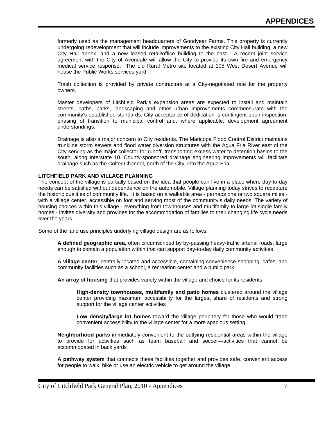formerly used as the management headquarters of Goodyear Farms. This property is currently undergoing redevelopment that will include improvements to the existing City Hall building, a new City Hall annex, and a new leased retail/office building to the east. A recent joint service agreement with the City of Avondale will allow the City to provide its own fire and emergency medical service response. The old Rural Metro site located at 105 West Desert Avenue will house the Public Works services yard.

Trash collection is provided by private contractors at a City-negotiated rate for the property owners.

Master developers of Litchfield Park's expansion areas are expected to install and maintain streets, paths, parks, landscaping and other urban improvements commensurate with the community's established standards. City acceptance of dedication is contingent upon inspection, phasing of transition to municipal control and, where applicable, development agreement understandings.

Drainage is also a major concern to City residents. The Maricopa Flood Control District maintains trunkline storm sewers and flood water diversion structures with the Agua Fria River east of the City serving as the major collector for runoff, transporting excess water to detention basins to the south, along Interstate 10. County-sponsored drainage engineering improvements will facilitate drainage such as the Colter Channel, north of the City, into the Agua Fria.

#### **LITCHFIELD PARK AND VILLAGE PLANNING**

The concept of the village is partially based on the idea that people can live in a place where day-to-day needs can be satisfied without dependence on the automobile. Village planning today strives to recapture the historic qualities of community life. It is based on a walkable area - perhaps one or two square miles with a village center, accessible on foot and serving most of the community's daily needs. The variety of housing choices within this village - everything from townhouses and multifamily to large lot single family homes - invites diversity and provides for the accommodation of families to their changing life cycle needs over the years.

Some of the land use principles underlying village design are as follows:

**A defined geographic area**, often circumscribed by by-passing heavy-traffic arterial roads, large enough to contain a population within that can support day-to-day daily community activities

**A village center**, centrally located and accessible, containing convenience shopping, cafes, and community facilities such as a school, a recreation center and a public park

**An array of housing** that provides variety within the village and choice for its residents

**High-density townhouses, multifamily and patio homes** clustered around the village center providing maximum accessibility for the largest share of residents and strong support for the village center activities

**Low density/large lot homes** toward the village periphery for those who would trade convenient accessibility to the village center for a more spacious setting

**Neighborhood parks** immediately convenient to the outlying residential areas within the village to provide for activities such as team baseball and soccer—activities that cannot be accommodated in back yards

**A pathway system** that connects these facilities together and provides safe, convenient access for people to walk, bike or use an electric vehicle to get around the village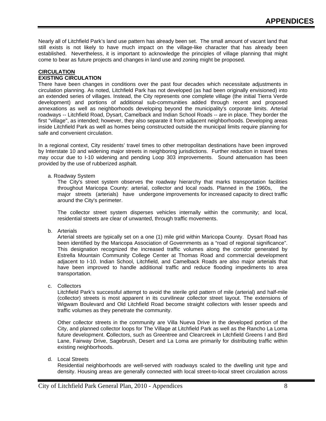Nearly all of Litchfield Park's land use pattern has already been set. The small amount of vacant land that still exists is not likely to have much impact on the village-like character that has already been established. Nevertheless, it is important to acknowledge the principles of village planning that might come to bear as future projects and changes in land use and zoning might be proposed.

#### **CIRCULATION**

#### **EXISTING CIRCULATION**

There have been changes in conditions over the past four decades which necessitate adjustments in circulation planning. As noted, Litchfield Park has not developed (as had been originally envisioned) into an extended series of villages. Instead, the City represents one complete village (the initial Tierra Verde development) and portions of additional sub-communities added through recent and proposed annexations as well as neighborhoods developing beyond the municipality's corporate limits. Arterial roadways -- Litchfield Road, Dysart, Camelback and Indian School Roads -- are in place. They border the first "village", as intended; however, they also separate it from adjacent neighborhoods. Developing areas inside Litchfield Park as well as homes being constructed outside the municipal limits require planning for safe and convenient circulation.

In a regional context, City residents' travel times to other metropolitan destinations have been improved by Interstate 10 and widening major streets in neighboring jurisdictions. Further reduction in travel times may occur due to I-10 widening and pending Loop 303 improvements. Sound attenuation has been provided by the use of rubberized asphalt.

a. Roadway System

The City's street system observes the roadway hierarchy that marks transportation facilities throughout Maricopa County: arterial, collector and local roads. Planned in the 1960s, the major streets (arterials) have undergone improvements for increased capacity to direct traffic around the City's perimeter.

The collector street system disperses vehicles internally within the community; and local, residential streets are clear of unwanted, through traffic movements.

b. Arterials

Arterial streets are typically set on a one (1) mile grid within Maricopa County. Dysart Road has been identified by the Maricopa Association of Governments as a "road of regional significance". This designation recognized the increased traffic volumes along the corridor generated by Estrella Mountain Community College Center at Thomas Road and commercial development adjacent to I-10. Indian School, Litchfield, and Camelback Roads are also major arterials that have been improved to handle additional traffic and reduce flooding impediments to area transportation.

c. Collectors

Litchfield Park's successful attempt to avoid the sterile grid pattern of mile (arterial) and half-mile (collector) streets is most apparent in its curvilinear collector street layout. The extensions of Wigwam Boulevard and Old Litchfield Road become straight collectors with lesser speeds and traffic volumes as they penetrate the community.

Other collector streets in the community are Villa Nueva Drive in the developed portion of the City, and planned collector loops for The Village at Litchfield Park as well as the Rancho La Loma future development. **C**ollectors, such as Greentree and Clearcreek in Litchfield Greens I and Bird Lane, Fairway Drive, Sagebrush, Desert and La Loma are primarily for distributing traffic within existing neighborhoods.

d. Local Streets

Residential neighborhoods are well-served with roadways scaled to the dwelling unit type and density. Housing areas are generally connected with local street-to-local street circulation across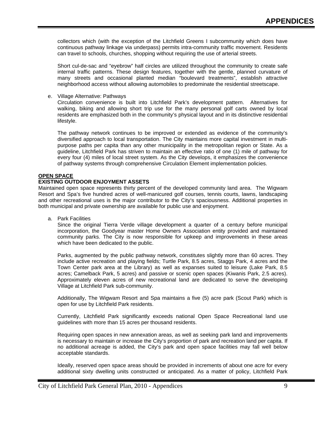collectors which (with the exception of the Litchfield Greens I subcommunity which does have continuous pathway linkage via underpass) permits intra-community traffic movement. Residents can travel to schools, churches, shopping without requiring the use of arterial streets.

Short cul-de-sac and "eyebrow" half circles are utilized throughout the community to create safe internal traffic patterns. These design features, together with the gentle, planned curvature of many streets and occasional planted median "boulevard treatments", establish attractive neighborhood access without allowing automobiles to predominate the residential streetscape.

#### e. Village Alternative: Pathways

Circulation convenience is built into Litchfield Park's development pattern. Alternatives for walking, biking and allowing short trip use for the many personal golf carts owned by local residents are emphasized both in the community's physical layout and in its distinctive residential lifestyle.

The pathway network continues to be improved or extended as evidence of the community's diversified approach to local transportation. The City maintains more capital investment in multipurpose paths per capita than any other municipality in the metropolitan region or State. As a guideline, Litchfield Park has striven to maintain an effective ratio of one (1) mile of pathway for every four (4) miles of local street system. As the City develops, it emphasizes the convenience of pathway systems through comprehensive Circulation Element implementation policies.

#### **OPEN SPACE**

#### **EXISTING OUTDOOR ENJOYMENT ASSETS**

Maintained open space represents thirty percent of the developed community land area. The Wigwam Resort and Spa's five hundred acres of well-manicured golf courses, tennis courts, lawns, landscaping and other recreational uses is the major contributor to the City's spaciousness. Additional properties in both municipal and private ownership are available for public use and enjoyment.

a. Park Facilities

Since the original Tierra Verde village development a quarter of a century before municipal incorporation, the Goodyear master Home Owners Association entity provided and maintained community parks. The City is now responsible for upkeep and improvements in these areas which have been dedicated to the public.

Parks, augmented by the public pathway network, constitutes slightly more than 60 acres. They include active recreation and playing fields; Turtle Park, 8.5 acres, Staggs Park, 4 acres and the Town Center park area at the Library) as well as expanses suited to leisure (Lake Park, 8.5 acres; Camelback Park, 5 acres) and passive or scenic open spaces (Kiwanis Park, 2.5 acres). Approximately eleven acres of new recreational land are dedicated to serve the developing Village at Litchfield Park sub-community.

Additionally, The Wigwam Resort and Spa maintains a five (5) acre park (Scout Park) which is open for use by Litchfield Park residents.

Currently, Litchfield Park significantly exceeds national Open Space Recreational land use guidelines with more than 15 acres per thousand residents.

Requiring open spaces in new annexation areas, as well as seeking park land and improvements is necessary to maintain or increase the City's proportion of park and recreation land per capita. If no additional acreage is added, the City's park and open space facilities may fall well below acceptable standards.

Ideally, reserved open space areas should be provided in increments of about one acre for every additional sixty dwelling units constructed or anticipated. As a matter of policy, Litchfield Park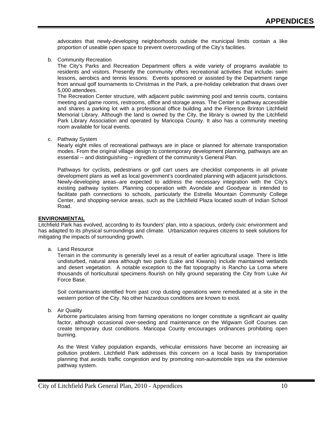advocates that newly-developing neighborhoods outside the municipal limits contain a like proportion of useable open space to prevent overcrowding of the City's facilities.

b. Community Recreation

The City's Parks and Recreation Department offers a wide variety of programs available to residents and visitors. Presently the community offers recreational activities that include: swim lessons, aerobics and tennis lessons. Events sponsored or assisted by the Department range from annual golf tournaments to Christmas in the Park, a pre-holiday celebration that draws over 5,000 attendees.

The Recreation Center structure, with adjacent public swimming pool and tennis courts, contains meeting and game rooms, restrooms, office and storage areas. The Center is pathway accessible and shares a parking lot with a professional office building and the Florence Brinton Litchfield Memorial Library. Although the land is owned by the City, the library is owned by the Litchfield Park Library Association and operated by Maricopa County. It also has a community meeting room available for local events.

c. Pathway System

Nearly eight miles of recreational pathways are in place or planned for alternate transportation modes. From the original village design to contemporary development planning, pathways are an essential -- and distinguishing -- ingredient of the community's General Plan.

Pathways for cyclists, pedestrians or golf cart users are checklist components in all private development plans as well as local government's coordinated planning with adjacent jurisdictions. Newly-developing areas–are expected to address the necessary integration with the City's existing pathway system. Planning cooperation with Avondale and Goodyear is intended to facilitate path connections to schools, particularly the Estrella Mountain Community College Center, and shopping-service areas, such as the Litchfield Plaza located south of Indian School Road.

#### **ENVIRONMENTAL**

Litchfield Park has evolved, according to its founders' plan, into a spacious, orderly civic environment and has adapted to its physical surroundings and climate. Urbanization requires citizens to seek solutions for mitigating the impacts of surrounding growth.

a. Land Resource

Terrain in the community is generally level as a result of earlier agricultural usage. There is little undisturbed, natural area although two parks (Lake and Kiwanis) include maintained wetlands and desert vegetation. A notable exception to the flat topography is Rancho La Loma where thousands of horticultural specimens flourish on hilly ground separating the City from Luke Air Force Base.

Soil contaminants identified from past crop dusting operations were remediated at a site in the western portion of the City. No other hazardous conditions are known to exist.

b. Air Quality

Airborne particulates arising from farming operations no longer constitute a significant air quality factor, although occasional over-seeding and maintenance on the Wigwam Golf Courses can create temporary dust conditions. Maricopa County encourages ordinances prohibiting open burning.

As the West Valley population expands, vehicular emissions have become an increasing air pollution problem. Litchfield Park addresses this concern on a local basis by transportation planning that avoids traffic congestion and by promoting non-automobile trips via the extensive pathway system.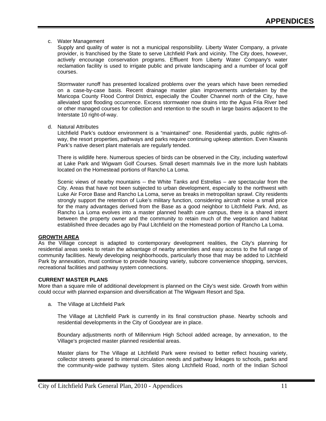#### c. Water Management

Supply and quality of water is not a municipal responsibility. Liberty Water Company, a private provider, is franchised by the State to serve Litchfield Park and vicinity. The City does, however, actively encourage conservation programs. Effluent from Liberty Water Company's water reclamation facility is used to irrigate public and private landscaping and a number of local golf courses.

Stormwater runoff has presented localized problems over the years which have been remedied on a case-by-case basis. Recent drainage master plan improvements undertaken by the Maricopa County Flood Control District, especially the Coulter Channel north of the City, have alleviated spot flooding occurrence. Excess stormwater now drains into the Agua Fria River bed or other managed courses for collection and retention to the south in large basins adjacent to the Interstate 10 right-of-way.

d. Natural Attributes

Litchfield Park's outdoor environment is a "maintained" one. Residential yards, public rights-ofway, the resort properties, pathways and parks require continuing upkeep attention. Even Kiwanis Park's native desert plant materials are regularly tended.

There is wildlife here. Numerous species of birds can be observed in the City, including waterfowl at Lake Park and Wigwam Golf Courses. Small desert mammals live in the more lush habitats located on the Homestead portions of Rancho La Loma.

Scenic views of nearby mountains -- the White Tanks and Estrellas – are spectacular from the City. Areas that have not been subjected to urban development, especially to the northwest with Luke Air Force Base and Rancho La Loma, serve as breaks in metropolitan sprawl. City residents strongly support the retention of Luke's military function, considering aircraft noise a small price for the many advantages derived from the Base as a good neighbor to Litchfield Park. And, as Rancho La Loma evolves into a master planned health care campus, there is a shared intent between the property owner and the community to retain much of the vegetation and habitat established three decades ago by Paul Litchfield on the Homestead portion of Rancho La Loma.

#### **GROWTH AREA**

As the Village concept is adapted to contemporary development realities, the City's planning for residential areas seeks to retain the advantage of nearby amenities and easy access to the full range of community facilities. Newly developing neighborhoods, particularly those that may be added to Litchfield Park by annexation, must continue to provide housing variety, subcore convenience shopping, services, recreational facilities and pathway system connections.

#### **CURRENT MASTER PLANS**

More than a square mile of additional development is planned on the City's west side. Growth from within could occur with planned expansion and diversification at The Wigwam Resort and Spa.

a. The Village at Litchfield Park

The Village at Litchfield Park is currently in its final construction phase. Nearby schools and residential developments in the City of Goodyear are in place.

Boundary adjustments north of Millennium High School added acreage, by annexation, to the Village's projected master planned residential areas.

Master plans for The Village at Litchfield Park were revised to better reflect housing variety, collector streets geared to internal circulation needs and pathway linkages to schools, parks and the community-wide pathway system. Sites along Litchfield Road, north of the Indian School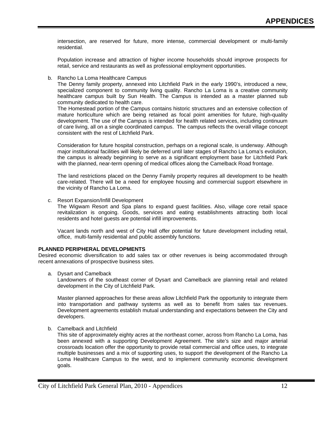intersection, are reserved for future, more intense, commercial development or multi-family residential.

Population increase and attraction of higher income households should improve prospects for retail, service and restaurants as well as professional employment opportunities.

b. Rancho La Loma Healthcare Campus

The Denny family property, annexed into Litchfield Park in the early 1990's, introduced a new, specialized component to community living quality. Rancho La Loma is a creative community healthcare campus built by Sun Health. The Campus is intended as a master planned sub community dedicated to health care.

The Homestead portion of the Campus contains historic structures and an extensive collection of mature horticulture which are being retained as focal point amenities for future, high-quality development. The use of the Campus is intended for health related services, including continuum of care living, all on a single coordinated campus. The campus reflects the overall village concept consistent with the rest of Litchfield Park.

Consideration for future hospital construction, perhaps on a regional scale, is underway. Although major institutional facilities will likely be deferred until later stages of Rancho La Loma's evolution, the campus is already beginning to serve as a significant employment base for Litchfield Park with the planned, near-term opening of medical offices along the Camelback Road frontage.

The land restrictions placed on the Denny Family property requires all development to be health care-related. There will be a need for employee housing and commercial support elsewhere in the vicinity of Rancho La Loma.

c. Resort Expansion/Infill Development

The Wigwam Resort and Spa plans to expand guest facilities. Also, village core retail space revitalization is ongoing. Goods, services and eating establishments attracting both local residents and hotel guests are potential infill improvements.

Vacant lands north and west of City Hall offer potential for future development including retail, office, multi-family residential and public assembly functions.

#### **PLANNED PERIPHERAL DEVELOPMENTS**

Desired economic diversification to add sales tax or other revenues is being accommodated through recent annexations of prospective business sites.

a. Dysart and Camelback

Landowners of the southeast corner of Dysart and Camelback are planning retail and related development in the City of Litchfield Park.

Master planned approaches for these areas allow Litchfield Park the opportunity to integrate them into transportation and pathway systems as well as to benefit from sales tax revenues. Development agreements establish mutual understanding and expectations between the City and developers.

b. Camelback and Litchfield

This site of approximately eighty acres at the northeast corner, across from Rancho La Loma, has been annexed with a supporting Development Agreement. The site's size and major arterial crossroads location offer the opportunity to provide retail commercial and office uses, to integrate multiple businesses and a mix of supporting uses, to support the development of the Rancho La Loma Healthcare Campus to the west, and to implement community economic development goals.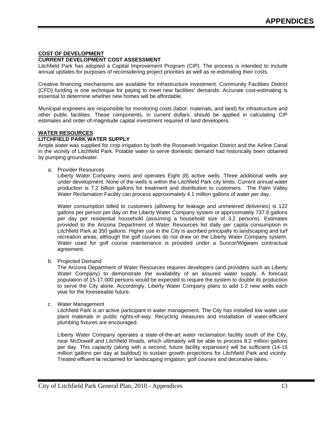#### **COST OF DEVELOPMENT CURRENT DEVELOPMENT COST ASSESSMENT**

#### Litchfield Park has adopted a Capital Improvement Program (CIP). The process is intended to include annual updates for purposes of reconsidering project priorities as well as re-estimating their costs.

Creative financing mechanisms are available for infrastructure investment. Community Facilities District (CFD) funding is one technique for paying to meet new facilities' demands. Accurate cost-estimating is essential to determine whether new homes will be affordable.

Municipal engineers are responsible for monitoring costs (labor, materials, and land) for infrastructure and other public facilities. These components, in current dollars, should be applied in calculating CIP estimates and order-of-magnitude capital investment required of land developers.

#### **WATER RESOURCES**

#### **LITCHFIELD PARK WATER SUPPLY**

Ample water was supplied for crop irrigation by both the Roosevelt Irrigation District and the Airline Canal in the vicinity of Litchfield Park. Potable water to serve domestic demand had historically been obtained by pumping groundwater.

a. Provider Resources

Liberty Water Company owns and operates Eight (8) active wells. Three additional wells are under development. None of the wells is within the Litchfield Park city limits. Current annual water production is 7.2 billion gallons for treatment and distribution to customers. The Palm Valley Water Reclamation Facility can process approximately 4.1 million gallons of water per day.

Water consumption billed to customers (allowing for leakage and unmetered deliveries) is 122 gallons per person per day on the Liberty Water Company system or approximately 737.8 gallons per day per residential household (assuming a household size of 3.2 persons). Estimates provided to the Arizona Department of Water Resources list daily per capita consumption in Litchfield Park at 350 gallons. Higher use in the City is ascribed principally to landscaping and turf recreation areas, although the golf courses do not draw on the Liberty Water Company system. Water used for golf course maintenance is provided under a Suncor/Wigwam contractual agreement.

b. Projected Demand

The Arizona Department of Water Resources requires developers (and providers such as Liberty Water Company) to demonstrate the availability of an assured water supply. A forecast population of 15-17,000 persons would be expected to require the system to double its production to serve the City alone. Accordingly, Liberty Water Company plans to add 1-2 new wells each year for the foreseeable future.

c. Water Management

Litchfield Park is an active participant in water management. The City has installed low water use plant materials in public rights-of-way. Recycling measures and installation of water-efficient plumbing fixtures are encouraged.

Liberty Water Company operates a state-of-the-art water reclamation facility south of the City, near McDowell and Litchfield Roads, which ultimately will be able to process 8.2 million gallons per day. This capacity (along with a second, future facility expansion) will be sufficient (14-15 million gallons per day at buildout) to sustain growth projections for Litchfield Park and vicinity. Treated effluent **is** reclaimed for landscaping irrigation, golf courses and decorative lakes.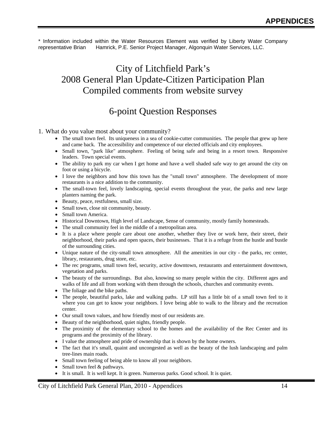\* Information included within the Water Resources Element was verified by Liberty Water Company representative Brian Hamrick, P.E. Senior Project Manager, Algonquin Water Services, LLC.

## City of Litchfield Park's 2008 General Plan Update-Citizen Participation Plan Compiled comments from website survey

## 6-point Question Responses

1. What do you value most about your community?

- The small town feel. Its uniqueness in a sea of cookie-cutter communities. The people that grew up here and came back. The accessibility and competence of our elected officials and city employees.
- Small town, "park like" atmosphere. Feeling of being safe and being in a resort town. Responsive leaders. Town special events.
- The ability to park my car when I get home and have a well shaded safe way to get around the city on foot or using a bicycle.
- I love the neighbors and how this town has the "small town" atmosphere. The development of more restaurants is a nice addition to the community.
- The small-town feel, lovely landscaping, special events throughout the year, the parks and new large planters naming the park.
- Beauty, peace, restfulness, small size.
- Small town, close nit community, beauty.
- Small town America.
- Historical Downtown, High level of Landscape, Sense of community, mostly family homesteads.
- The small community feel in the middle of a metropolitan area.
- It is a place where people care about one another, whether they live or work here, their street, their neighborhood, their parks and open spaces, their businesses. That it is a refuge from the hustle and bustle of the surrounding cities.
- Unique nature of the city-small town atmosphere. All the amenities in our city the parks, rec center, library, restaurants, drug store, etc.
- The rec programs, small town feel, security, active downtown, restaurants and entertainment downtown, vegetation and parks.
- The beauty of the surroundings. But also, knowing so many people within the city. Different ages and walks of life and all from working with them through the schools, churches and community events.
- The foliage and the bike paths.
- The people, beautiful parks, lake and walking paths. LP still has a little bit of a small town feel to it where you can get to know your neighbors. I love being able to walk to the library and the recreation center.
- Our small town values, and how friendly most of our residents are.
- Beauty of the neighborhood, quiet nights, friendly people.
- The proximity of the elementary school to the homes and the availability of the Rec Center and its programs and the proximity of the library.
- I value the atmosphere and pride of ownership that is shown by the home owners.
- The fact that it's small, quaint and uncongested as well as the beauty of the lush landscaping and palm tree-lines main roads.
- Small town feeling of being able to know all your neighbors.
- Small town feel & pathways.
- It is small. It is well kept. It is green. Numerous parks. Good school. It is quiet.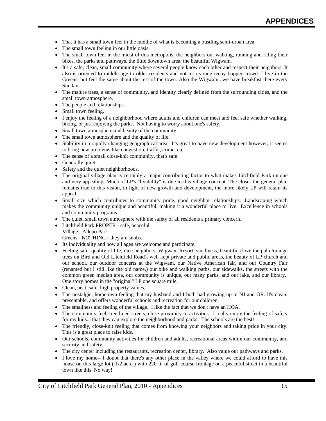- That it has a small town feel in the middle of what is becoming a bustling semi-urban area.
- The small town feeling in our little oasis.
- The small town feel in the midst of this metropolis, the neighbors out walking, running and riding their bikes, the parks and pathways, the little downtown area, the beautiful Wigwam.
- It's a safe, clean, small community where several people know each other and respect their neighbors. It also is oriented to middle age to older residents and not to a young teeny bopper crowd. I live in the Greens, but feel the same about the rest of the town. Also the Wigwam...we have breakfast there every Sunday.
- The mature trees, a sense of community, and identity clearly defined from the surrounding cities, and the small town atmosphere.
- The people and relationships.
- Small town feeling.
- I enjoy the feeling of a neighborhood where adults and children can meet and feel safe whether walking, biking, or just enjoying the parks. Not having to worry about one's safety.
- Small town atmosphere and beauty of the community.
- The small town atmosphere and the quality of life.
- Stability in a rapidly changing geographical area. It's great to have new development however; it seems to bring new problems like congestion, traffic, crime, etc.
- The sense of a small close-knit community, that's safe.
- Generally quiet.
- Safety and the quiet neighborhoods.
- The original village plan is certainly a major contributing factor to what makes Litchfield Park unique and very appealing. Much of LP's "livability" is due to this village concept. The closer the general plan remains true to this vision, in light of new growth and development, the more likely LP will retain its appeal.
- Small size which contributes to community pride, good neighbor relationships. Landscaping which makes the community unique and beautiful, making it a wonderful place to live. Excellence in schools and community programs.
- The quiet, small town atmosphere with the safety of all residents a primary concern.
- Litchfield Park PROPER safe, peaceful.
- Village Allepo Park Greens - NOTHING - they are snobs.
- Its individuality and how all ages are welcome and participate.
- Feeling safe, quality of life, nice neighbors, Wigwam Resort, smallness, beautiful (love the palm/orange trees on Bird and Old Litchfield Road), well kept private and public areas, the beauty of LP church and our school, our outdoor concerts at the Wigwam, our Native American fair, and our Country Fair (renamed but I still like the old name,) our bike and walking paths, our sidewalks, the streets with the common green median area, our community is unique, our many parks, and our lake, and our library. One story homes in the "original" LP one square mile.
- Clean, neat, safe, high property values.
- The nostalgic, hometown feeling that my husband and I both had growing up in NJ and OR. It's clean, presentable, and offers wonderful schools and recreation for our children.
- The smallness and feeling of the village. I like the fact that we don't have an HOA.
- The community feel, tree lined streets, close proximity to activities. I really enjoy the feeling of safety for my kids... that they can explore the neighborhood and parks. The schools are the best!
- The friendly, close-knit feeling that comes from knowing your neighbors and taking pride in your city. This is a great place to raise kids.
- Our schools, community activities for children and adults, recreational areas within our community, and security and safety.
- The city center including the restaurants, recreation center, library. Also value our pathways and parks.
- I love my home-- I doubt that there's any other place in the valley where we could afford to have this house on this large lot ( 1/2 acre ) with 220 ft. of golf course frontage on a peaceful street in a beautiful town like this. No way!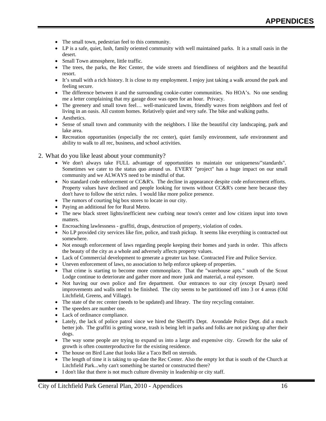- The small town, pedestrian feel to this community.
- LP is a safe, quiet, lush, family oriented community with well maintained parks. It is a small oasis in the desert.
- Small Town atmosphere, little traffic.
- The trees, the parks, the Rec Center, the wide streets and friendliness of neighbors and the beautiful resort.
- It's small with a rich history. It is close to my employment. I enjoy just taking a walk around the park and feeling secure.
- The difference between it and the surrounding cookie-cutter communities. No HOA's. No one sending me a letter complaining that my garage door was open for an hour. Privacy.
- The greenery and small town feel… well-manicured lawns, friendly waves from neighbors and feel of living in an oasis. All custom homes. Relatively quiet and very safe. The bike and walking paths.
- Aesthetics.
- Sense of small town and community with the neighbors. I like the beautiful city landscaping, park and lake area.
- Recreation opportunities (especially the rec center), quiet family environment, safe environment and ability to walk to all rec, business, and school activities.
- 2. What do you like least about your community?
	- We don't always take FULL advantage of opportunities to maintain our uniqueness/"standards". Sometimes we cater to the status quo around us. EVERY "project" has a huge impact on our small community and we ALWAYS need to be mindful of that.
	- No standard code enforcement or CC&R's. The decline in appearance despite code enforcement efforts. Property values have declined and people looking for towns without CC&R's come here because they don't have to follow the strict rules. I would like more police presence.
	- The rumors of courting big box stores to locate in our city.
	- Paying an additional fee for Rural Metro.
	- The new black street lights/inefficient new curbing near town's center and low citizen input into town matters.
	- Encroaching lawlessness graffiti, drugs, destruction of property, violation of codes.
	- No LP provided city services like fire, police, and trash pickup. It seems like everything is contracted out somewhere.
	- Not enough enforcement of laws regarding people keeping their homes and yards in order. This affects the beauty of the city as a whole and adversely affects property values.
	- Lack of Commercial development to generate a greater tax base. Contracted Fire and Police Service.
	- Uneven enforcement of laws, no association to help enforce upkeep of properties.
	- That crime is starting to become more commonplace. That the "warehouse apts." south of the Scout Lodge continue to deteriorate and gather more and more junk and material, a real eyesore.
	- Not having our own police and fire department. Our entrances to our city (except Dysart) need improvements and walls need to be finished. The city seems to be partitioned off into 3 or 4 areas (Old Litchfield, Greens, and Village).
	- The state of the rec center (needs to be updated) and library. The tiny recycling container.
	- The speeders are number one.
	- Lack of ordinance compliance.
	- Lately, the lack of police patrol since we hired the Sheriff's Dept. Avondale Police Dept. did a much better job. The graffiti is getting worse, trash is being left in parks and folks are not picking up after their dogs.
	- The way some people are trying to expand us into a large and expensive city. Growth for the sake of growth is often counterproductive for the existing residence.
	- The house on Bird Lane that looks like a Taco Bell on steroids.
	- The length of time it is taking to up-date the Rec Center. Also the empty lot that is south of the Church at Litchfield Park...why can't something be started or constructed there?
	- I don't like that there is not much culture diversity in leadership or city staff.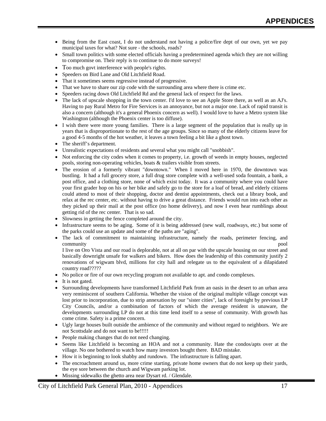- Being from the East coast, I do not understand not having a police/fire dept of our own, yet we pay municipal taxes for what? Not sure - the schools, roads?
- Small town politics with some elected officials having a predetermined agenda which they are not willing to compromise on. Their reply is to continue to do more surveys!
- Too much govt interference with people's rights.
- Speeders on Bird Lane and Old Litchfield Road.
- That it sometimes seems regressive instead of progressive.
- That we have to share our zip code with the surrounding area where there is crime etc.
- Speeders racing down Old Litchfield Rd and the general lack of respect for the laws.
- The lack of upscale shopping in the town center. I'd love to see an Apple Store there, as well as an AJ's. Having to pay Rural Metro for Fire Services is an annoyance, but not a major one. Lack of rapid transit is also a concern (although it's a general Phoenix concern as well). I would love to have a Metro system like Washington (although the Phoenix center is too diffuse).
- I wish there were more young families. There is a large segment of the population that is really up in years that is disproportionate to the rest of the age groups. Since so many of the elderly citizens leave for a good 4-5 months of the hot weather, it leaves a town feeling a bit like a ghost town.
- The sheriff's department.
- Unrealistic expectations of residents and several what you might call "snobbish".
- Not enforcing the city codes when it comes to property, i.e. growth of weeds in empty houses, neglected pools, storing non-operating vehicles, boats & trailers visible from streets.
- The erosion of a formerly vibrant "downtown." When I moved here in 1970, the downtown was bustling. It had a full grocery store, a full drug store complete with a well-used soda fountain, a bank, a post office, and a clothing store, none of which exist today. It was a community where you could have your first grader hop on his or her bike and safely go to the store for a loaf of bread, and elderly citizens could attend to most of their shopping, doctor and dentist appointments, check out a library book, and relax at the rec center, etc. without having to drive a great distance. Friends would run into each other as they picked up their mail at the post office (no home delivery), and now I even hear rumblings about getting rid of the rec center. That is so sad.
- Slowness in getting the fence completed around the city.
- Infrastructure seems to be aging. Some of it is being addressed (new wall, roadways, etc.) but some of the parks could use an update and some of the paths are "aging".
- The lack of commitment to maintaining infrastructure, namely the roads, perimeter fencing, and community **pool**

I live on Oro Vista and our road is deplorable, not at all on par with the upscale housing on our street and basically downright unsafe for walkers and bikers. How does the leadership of this community justify 2 renovations of wigwam blvd, millions for city hall and relegate us to the equivalent of a dilapidated country road?????

- No police or fire of our own recycling program not available to apt. and condo complexes.
- It is not gated.
- Surrounding developments have transformed Litchfield Park from an oasis in the desert to an urban area very reminiscent of southern California. Whether the vision of the original multiple village concept was lost prior to incorporation, due to strip annexation by our "sister cities", lack of foresight by previous LP City Councils, and/or a combination of factors of which the average resident is unaware, the developments surrounding LP do not at this time lend itself to a sense of community. With growth has come crime. Safety is a prime concern.
- Ugly large houses built outside the ambience of the community and without regard to neighbors. We are not Scottsdale and do not want to be!!!!!
- People making changes that do not need changing.
- Seems like Litchfield is becoming an HOA and not a community. Hate the condos/apts over at the village. No one bothered to watch how many investors bought there. BAD mistake.
- How it is beginning to look shabby and rundown. The infrastructure is falling apart.
- The encroachment around us, more crime starting, private home owners that do not keep up their yards, the eye sore between the church and Wigwam parking lot.
- Missing sidewalks the ghetto area near Dysart rd. / Glendale.

City of Litchfield Park General Plan, 2010 - Appendices 17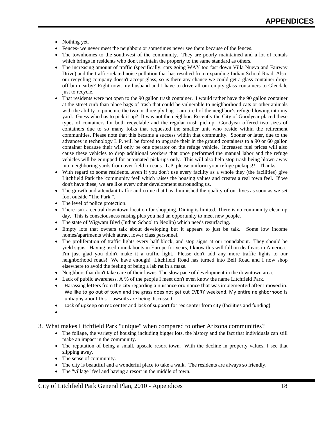- Nothing yet.
- Fences- we never meet the neighbors or sometimes never see them because of the fences.
- The townhomes to the southwest of the community. They are poorly maintained and a lot of rentals which brings in residents who don't maintain the property to the same standard as others.
- The increasing amount of traffic (specifically, cars going WAY too fast down Villa Nueva and Fairway Drive) and the traffic-related noise pollution that has resulted from expanding Indian School Road. Also, our recycling company doesn't accept glass, so is there any chance we could get a glass container dropoff bin nearby? Right now, my husband and I have to drive all our empty glass containers to Glendale just to recycle.
- That residents were not open to the 90 gallon trash container. I would rather have the 90 gallon container at the street curb than place bags of trash that could be vulnerable to neighborhood cats or other animals with the ability to puncture the two or three ply bag. I am tired of the neighbor's refuge blowing into my yard. Guess who has to pick it up? It was not the neighbor. Recently the City of Goodyear placed these types of containers for both recyclable and the regular trash pickup. Goodyear offered two sizes of containers due to so many folks that requested the smaller unit who reside within the retirement communities. Please note that this became a success within that community. Sooner or later, due to the advances in technology L.P. will be forced to upgrade their in the ground containers to a 90 or 60 gallon container because their will only be one operator on the refuge vehicle. Increased fuel prices will also cause these vehicles to drop additional workers that once performed the manual labor and the refuge vehicles will be equipped for automated pick-ups only. This will also help stop trash being blown away into neighboring yards from over field tin cans. L.P. please uniform your refuge pickups!!! Thanks
- With regard to some residents...even if you don't use every facility as a whole they (the facilities) give Litchfield Park the 'community feel' which raises the housing values and creates a real town feel. If we don't have these, we are like every other development surrounding us.
- The growth and attendant traffic and crime that has diminished the quality of our lives as soon as we set foot outside "The Park ".
- The level of police protection.
- There isn't a central downtown location for shopping. Dining is limited. There is no community clean up day. This is consciousness raising plus you had an opportunity to meet new people.
- The state of Wigwam Blvd (Indian School to Neolin) which needs resurfacing.
- Empty lots that owners talk about developing but it appears to just be talk. Some low income homes/apartments which attract lower class personnel.
- The proliferation of traffic lights every half block, and stop signs at our roundabout. They should be yield signs. Having used roundabouts in Europe for years, I know this will fall on deaf ears in America. I'm just glad you didn't make it a traffic light. Please don't add any more traffic lights to our neighborhood roads! We have enough! Litchfield Road has turned into Bell Road and I now shop elsewhere to avoid the feeling of being a lab rat in a maze.
- Neighbors that don't take care of their lawns. The slow pace of development in the downtown area.
- Lack of public awareness. A % of the people I meet don't even know the name Litchfield Park.
- Harassing letters from the city regarding a nuisance ordinance that was implemented after I moved in. We like to go out of town and the grass does not get cut EVERY weekend. My entire neighborhood is unhappy about this. Lawsuits are being discussed.
- Lack of upkeep on rec center and lack of support for rec center from city (facilities and funding).
- •
- 3. What makes Litchfield Park "unique" when compared to other Arizona communities?
	- The foliage, the variety of housing including bigger lots, the history and the fact that individuals can still make an impact in the community.
	- The reputation of being a small, upscale resort town. With the decline in property values, I see that slipping away.
	- The sense of community.
	- The city is beautiful and a wonderful place to take a walk. The residents are always so friendly.
	- The "village" feel and having a resort in the middle of town.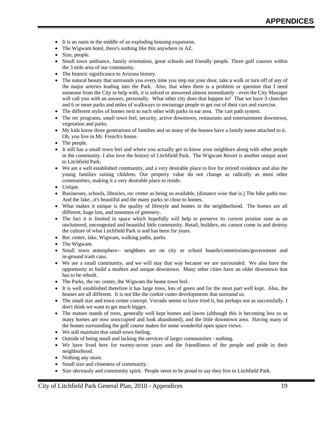- It is an oasis in the middle of an exploding housing expansion.
- The Wigwam hotel, there's nothing like this anywhere in AZ.
- Size, people.
- Small town ambiance, family orientation, great schools and friendly people. Three golf courses within the 3 mile area of our community.
- The historic significance to Arizona history.
- The natural beauty that surrounds you every time you step out your door, take a walk or turn off of any of the major arteries leading into the Park. Also, that when there is a problem or question that I need someone from the City to help with, it is solved or answered almost immediately - even the City Manager will call you with an answer, personally. What other city does that happen in? That we have 3 churches and 6 or more parks and miles of walkways to encourage people to get out of their cars and exercise.
- The different styles of homes next to each other with parks in ear area. The cart path system.
- The rec programs, small town feel, security, active downtown, restaurants and entertainment downtown, vegetation and parks.
- My kids know three generations of families and so many of the houses have a family name attached to it. Oh, you live in Mr. French's house.
- The people.
- It still has a small town feel and where you actually get to know your neighbors along with other people in the community. I also love the history of Litchfield Park. The Wigwam Resort is another unique asset to Litchfield Park.
- We are a well established community, and a very desirable place to live for retired residence and also the young families raising children. Our property value do not change as radically as most other communities, making it a very desirable place to reside.
- Unique.
- Businesses, schools, libraries, rec center as being so available, (distance wise that is.) The bike paths too. And the lake...it's beautiful and the many parks so close to homes.
- What makes it unique is the quality of lifestyle and homes in the neighborhood. The homes are all different, huge lots, and tooonnns of greenery.
- The fact it is limited in space which hopefully will help to preserve its current pristine state as an uncluttered, uncongested and beautiful little community. Retail, builders, etc cannot come in and destroy the culture of what Litchfield Park is and has been for years.
- Rec center, lake, Wigwam, walking paths, parks.
- The Wigwam.
- Small town atmosphere-- neighbors are on city or school boards/commissions/government and in-ground trash cans.
- We are a small community, and we will stay that way because we are surrounded. We also have the opportunity to build a modern and unique downtown. Many other cities have an older downtown that has to be rebuilt.
- The Parks, the rec center, the Wigwam the home town feel.
- It is well established therefore it has large trees, lots of green and for the most part well kept. Also, the houses are all different. It is not like the cookie cutter developments that surround us.
- The small size and town center concept. Verrado seems to have tried it, but perhaps not as successfully. I don't think we want to get much bigger.
- The mature stands of trees, generally well kept homes and lawns (although this is becoming less so as many homes are now unoccupied and look abandoned), and the little downtown area. Having many of the homes surrounding the golf course makes for some wonderful open space views.
- We still maintain that small-town feeling.
- Outside of being small and lacking the services of larger communities nothing.
- We have lived here for twenty-seven years and the friendliness of the people and pride in their neighborhood.
- Nothing any more.
- Small size and closeness of community.
- Size obviously and community spirit. People seem to be proud to say they live in Litchfield Park.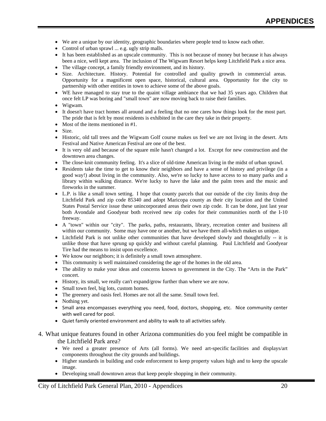- We are a unique by our identity, geographic boundaries where people tend to know each other.
- Control of urban sprawl ... e.g. ugly strip malls.
- It has been established as an upscale community. This is not because of money but because it has always been a nice, well kept area. The inclusion of The Wigwam Resort helps keep Litchfield Park a nice area.
- The village concept, a family friendly environment, and its history.
- Size. Architecture. History. Potential for controlled and quality growth in commercial areas. Opportunity for a magnificent open space, historical, cultural area. Opportunity for the city to partnership with other entities in town to achieve some of the above goals.
- WE have managed to stay true to the quaint village ambiance that we had 35 years ago. Children that once felt LP was boring and "small town" are now moving back to raise their families.
- Wigwam.
- It doesn't have tract homes all around and a feeling that no one cares how things look for the most part. The pride that is felt by most residents is exhibited in the care they take in their property.
- Most of the items mentioned in #1.
- $Size$
- Historic, old tall trees and the Wigwam Golf course makes us feel we are not living in the desert. Arts Festival and Native American Festival are one of the best.
- It is very old and because of the square mile hasn't changed a lot. Except for new construction and the downtown area changes.
- The close-knit community feeling. It's a slice of old-time American living in the midst of urban sprawl.
- Residents take the time to get to know their neighbors and have a sense of history and privilege (in a good way!) about living in the community. Also, we're so lucky to have access to so many parks and a library within walking distance. We're lucky to have the lake and the palm trees and the music and fireworks in the summer.
- L.P. is like a small town setting. I hope that county parcels that our outside of the city limits drop the Litchfield Park and zip code 85340 and adopt Maricopa county as their city location and the United States Postal Service issue these unincorporated areas their own zip code. It can be done, just last year both Avondale and Goodyear both received new zip codes for their communities north of the I-10 freeway.
- A "town" within our "city". The parks, paths, restaurants, library, recreation center and business all within our community. Some may have one or another, but we have them all-which makes us unique.
- Litchfield Park is not unlike other communities that have developed slowly and thoughtfully -- it is unlike those that have sprung up quickly and without careful planning. Paul Litchfield and Goodyear Tire had the means to insist upon excellence.
- We know our neighbors; it is definitely a small town atmosphere.
- This community is well maintained considering the age of the homes in the old area.
- The ability to make your ideas and concerns known to government in the City. The "Arts in the Park" concert.
- History, its small, we really can't expand/grow further than where we are now.
- Small town feel, big lots, custom homes.
- The greenery and oasis feel. Homes are not all the same. Small town feel.
- Nothing yet.
- Small area encompasses everything you need, food, doctors, shopping, etc. Nice community center with well cared for pool.
- Quiet family oriented environment and ability to walk to all activities safely.
- 4. What unique features found in other Arizona communities do you feel might be compatible in the Litchfield Park area?
	- We need a greater presence of Arts (all forms). We need art-specific facilities and displays/art components throughout the city grounds and buildings.
	- Higher standards in building and code enforcement to keep property values high and to keep the upscale image.
	- Developing small downtown areas that keep people shopping in their community.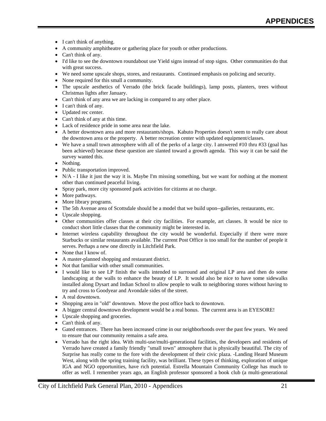- I can't think of anything.
- A community amphitheatre or gathering place for youth or other productions.
- Can't think of any.
- I'd like to see the downtown roundabout use Yield signs instead of stop signs. Other communities do that with great success.
- We need some upscale shops, stores, and restaurants. Continued emphasis on policing and security.
- None required for this small a community.
- The upscale aesthetics of Verrado (the brick facade buildings), lamp posts, planters, trees without Christmas lights after January.
- Can't think of any area we are lacking in compared to any other place.
- I can't think of any.
- Updated rec center.
- Can't think of any at this time.
- Lack of residence pride in some area near the lake.
- A better downtown area and more restaurants/shops. Kabuto Properties doesn't seem to really care about the downtown area or the property. A better recreation center with updated equipment/classes.
- We have a small town atmosphere with all of the perks of a large city. I answered #10 thru #33 (goal has been achieved) because these question are slanted toward a growth agenda. This way it can be said the survey wanted this.
- Nothing.
- Public transportation improved.
- $N/A$  I like it just the way it is. Maybe I'm missing something, but we want for nothing at the moment other than continued peaceful living.
- Spray park, more city sponsored park activities for citizens at no charge.
- More pathways.
- More library programs.
- The 5th Avenue area of Scottsdale should be a model that we build upon--galleries, restaurants, etc.
- Upscale shopping.
- Other communities offer classes at their city facilities. For example, art classes. It would be nice to conduct short little classes that the community might be interested in.
- Internet wireless capability throughout the city would be wonderful. Especially if there were more Starbucks or similar restaurants available. The current Post Office is too small for the number of people it serves. Perhaps a new one directly in Litchfield Park.
- None that I know of.
- A master-planned shopping and restaurant district.
- Not that familiar with other small communities.
- I would like to see LP finish the walls intended to surround and original LP area and then do some landscaping at the walls to enhance the beauty of LP. It would also be nice to have some sidewalks installed along Dysart and Indian School to allow people to walk to neighboring stores without having to try and cross to Goodyear and Avondale sides of the street.
- A real downtown.
- Shopping area in "old" downtown. Move the post office back to downtown.
- A bigger central downtown development would be a real bonus. The current area is an EYESORE!
- Upscale shopping and groceries.
- Can't think of any.
- Gated entrances. There has been increased crime in our neighborhoods over the past few years. We need to ensure that our community remains a safe area.
- Verrado has the right idea. With multi-use/multi-generational facilities, the developers and residents of Verrado have created a family friendly "small town" atmosphere that is physically beautiful. The city of Surprise has really come to the fore with the development of their civic plaza. -Landing Heard Museum West, along with the spring training facility, was brilliant. These types of thinking, exploration of unique IGA and NGO opportunities, have rich potential. Estrella Mountain Community College has much to offer as well. I remember years ago, an English professor sponsored a book club (a multi-generational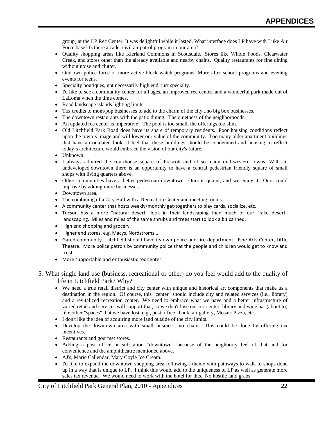group) at the LP Rec Center. It was delightful while it lasted. What interface does LP have with Luke Air Force base? Is there a cadet civil air patrol program in our area?

- Quality shopping areas like Kierland Commons in Scottsdale. Stores like Whole Foods, Clearwater Creek, and stores other than the already available and nearby chains. Quality restaurants for fine dining without noise and clutter.
- Our own police force or more active block watch programs. More after school programs and evening events for teens.
- Specialty boutiques, not necessarily high end, just specialty.
- I'd like to see a community center for all ages, an improved rec center, and a wonderful park made out of LaLoma when the time comes.
- Road landscape islands lighting limits.
- Tax credits to mom/pop businesses to add to the charm of the city...no big box businesses.
- The downtown restaurants with the patio dining. The quietness of the neighborhoods.
- An updated rec center is imperative! The pool is too small, the offerings too slim.
- Old Litchfield Park Road does have its share of temporary residents. Poor housing conditions reflect upon the town's image and will lower our value of the community. Too many older apartment buildings that have an outdated look. I feel that these buildings should be condemned and housing to reflect today's architecture would embrace the vision of our city's future.
- Unknown.
- I always admired the courthouse square of Prescott and of so many mid-western towns. With an undeveloped downtown there is an opportunity to have a central pedestrian friendly square of small shops with living quarters above.
- Other communities have a better pedestrian downtown. Ours is quaint, and we enjoy it. Ours could improve by adding more businesses.
- Downtown area.
- The combining of a City Hall with a Recreation Center and meeting rooms.
- A community center that hosts weekly/monthly get‐togethers to play cards, socialize, etc.
- Tucson has a more "natural desert" look in their landscaping than much of our "fake desert" landscaping. Miles and miles of the same shrubs and trees start to look a bit canned.
- High end shopping and grocery.
- Higher end stores. e.g. Macys, Nordstroms...
- Gated community. Litchfield should have its own police and fire department. Fine Arts Center, Little Theatre. More police patrols by community police that the people and children would get to know and trust.
- More supportable and enthusiastic rec center.
- 5. What single land use (business, recreational or other) do you feel would add to the quality of life in Litchfield Park? Why?
	- We need a true retail district and city center with unique and historical art components that make us a destination in the region. Of course, this "center" should include city and related services (i.e., library) and a revitalized recreation center. We need to embrace what we have and a better infrastructure of varied retail and services will support that, so we don't lose our rec center, library and wine bar (about to) like other "spaces" that we have lost, e.g., post office , bank, art gallery, Mosaic Pizza, etc.
	- I don't like the idea of acquiring more land outside of the city limits.
	- Develop the downtown area with small business, no chains. This could be done by offering tax incentives.
	- Restaurants and gourmet stores.
	- Adding a post office or substation "downtown"--because of the neighborly feel of that and for convenience and the amphitheatre mentioned above.
	- AJ's, Marie Callendar, Mary Coyle Ice Cream.
	- I'd like to expand the downtown shopping area following a theme with pathways to walk to shops done up in a way that is unique to LP. I think this would add to the uniqueness of LP as well as generate more sales tax revenue. We would need to work with the hotel for this. No hostile land grabs.

City of Litchfield Park General Plan, 2010 - Appendices 22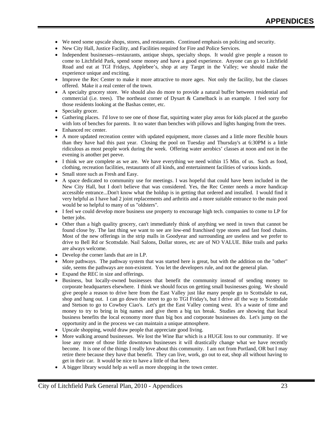- We need some upscale shops, stores, and restaurants. Continued emphasis on policing and security.
- New City Hall, Justice Facility, and Facilities required for Fire and Police Services.
- Independent businesses--restaurants, antique shops, specialty shops. It would give people a reason to come to Litchfield Park, spend some money and have a good experience. Anyone can go to Litchfield Road and eat at TGI Fridays, Applebee's, shop at any Target in the Valley; we should make the experience unique and exciting.
- Improve the Rec Center to make it more attractive to more ages. Not only the facility, but the classes offered. Make it a real center of the town.
- A specialty grocery store. We should also do more to provide a natural buffer between residential and commercial (i.e. trees). The northeast corner of Dysart & Camelback is an example. I feel sorry for those residents looking at the Bashas center, etc.
- Specialty grocer.
- Gathering places. I'd love to see one of those flat, squirting water play areas for kids placed at the gazebo with lots of benches for parents. It no water than benches with pillows and lights hanging from the trees.
- Enhanced rec center.
- A more updated recreation center with updated equipment, more classes and a little more flexible hours than they have had this past year. Closing the pool on Tuesday and Thursday's at 6:30PM is a little ridiculous as most people work during the week. Offering water aerobics' classes at noon and not in the evening is another pet peeve.
- I think we are complete as we are. We have everything we need within 15 Min. of us. Such as food, clothing, recreation facilities, restaurants of all kinds, and entertainment facilities of various kinds.
- Small store such as Fresh and Easy.
- A space dedicated to community use for meetings. I was hopeful that could have been included in the New City Hall, but I don't believe that was considered. Yes, the Rec Center needs a more handicap accessible entrance...Don't know what the holdup is in getting that ordered and installed. I would find it very helpful as I have had 2 joint replacements and arthritis and a more suitable entrance to the main pool would be so helpful to many of us "oldsters".
- I feel we could develop more business use property to encourage high tech. companies to come to LP for better jobs.
- Other than a high quality grocery, can't immediately think of anything we need in town that cannot be found close by. The last thing we want to see are low-end franchised type stores and fast food chains. Most of the new offerings in the strip malls in Goodyear and surrounding are useless and we prefer to drive to Bell Rd or Scottsdale. Nail Salons, Dollar stores, etc are of NO VALUE. Bike trails and parks are always welcome.
- Develop the corner lands that are in LP.
- More pathways. The pathway system that was started here is great, but with the addition on the "other" side, seems the pathways are non-existent. You let the developers rule, and not the general plan.
- Expand the REC in size and offerings.
- Business, but locally-owned businesses that benefit the community instead of sending money to corporate headquarters elsewhere. I think we should focus on getting small businesses going. We should give people a reason to drive here from the East Valley just like many people go to Scottsdale to eat, shop and hang out. I can go down the street to go to TGI Friday's, but I drive all the way to Scottsdale and Stetson to go to Cowboy Ciao's. Let's get the East Valley coming west. It's a waste of time and money to try to bring in big names and give them a big tax break. Studies are showing that local business benefits the local economy more than big box and corporate businesses do. Let's jump on the opportunity and in the process we can maintain a unique atmosphere.
- Upscale shopping, would draw people that appreciate good living.
- More walking around businesses. We lost the Wine Bar which is a HUGE loss to our community. If we lose any more of those little downtown businesses it will drastically change what we have recently become. It is one of the things I really love about this community. I am not from Portland, OR but I may retire there because they have that benefit. They can live, work, go out to eat, shop all without having to get in their car. It would be nice to have a little of that here.
- A bigger library would help as well as more shopping in the town center.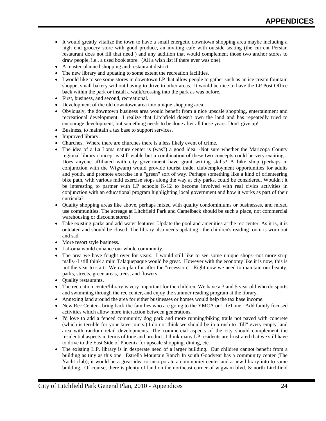- It would greatly vitalize the town to have a small energetic downtown shopping area maybe including a high end grocery store with good produce, an inviting cafe with outside seating (the current Persian restaurant does not fill that need ) and any addition that would complement those two anchor stores to draw people, i.e., a used book store. (All a wish list if there ever was one).
- A master-planned shopping and restaurant district.
- The new library and updating to some extent the recreation facilities.
- I would like to see some stores in downtown LP that allow people to gather such as an ice cream fountain shoppe, small bakery without having to drive to other areas. It would be nice to have the LP Post Office back within the park or install a walk/crossing into the park as was before.
- First, business, and second, recreational.
- Development of the old downtown area into unique shopping area.
- Obviously, the downtown business area would benefit from a nice upscale shopping, entertainment and recreational development. I realize that Litchfield doesn't own the land and has repeatedly tried to encourage development, but something needs to be done after all these years. Don't give up!
- Business, to maintain a tax base to support services.
- Improved library.
- Churches. Where there are churches there is a less likely event of crime.
- The idea of a La Loma nature center is (was?) a good idea. -Not sure whether the Maricopa County regional library concept is still viable but a combination of these two concepts could be very exciting... Does anyone affiliated with city government have grant writing skills? A bike shop (perhaps in conjunction with the Wigwam) would provide tourist trade, club/employment opportunities for adults and youth, and promote exercise in a "green" sort of way. Perhaps something like a kind of orienteering bike path, with various mild exercise stops along the way at city parks, could be considered. Wouldn't it be interesting to partner with LP schools K-12 to become involved with real civics activities in conjunction with an educational program highlighting local government and how it works as part of their curricula?
- Quality shopping areas like above, perhaps mixed with quality condominiums or businesses, and mixed use communities. The acreage at Litchfield Park and Camelback should be such a place, not commercial warehousing or discount stores!
- Take existing parks and add water features. Update the pool and amenities at the rec center. As it is, it is outdated and should be closed. The library also needs updating - the children's reading room is worn out and sad.
- More resort style business.
- LaLoma would enhance our whole community.
- The area we have fought over for years. I would still like to see some unique shops--not more strip malls--I still think a mini Talaquepaque would be great. However with the economy like it is now, this is not the year to start. We can plan for after the "recession." Right now we need to maintain our beauty, parks, streets, green areas, trees, and flowers.
- Quality restaurants.
- The recreation center/library is very important for the children. We have a 3 and 5 year old who do sports and swimming through the rec center, and enjoy the summer reading program at the library.
- Annexing land around the area for either businesses or homes would help the tax base income.
- New Rec Center bring back the families who are going to the YMCA or LifeTime. Add family focused activities which allow more interaction between generations.
- I'd love to add a fenced community dog park and more running/biking trails not paved with concrete (which is terrible for your knee joints.) I do not think we should be in a rush to "fill" every empty land area with random retail developments. The commercial aspects of the city should complement the residential aspects in terms of tone and product. I think many LP residents are frustrated that we still have to drive to the East Side of Phoenix for upscale shopping, dining, etc.
- The existing L.P. library is in desperate need of a larger building. Our children cannot benefit from a building as tiny as this one. Estrella Mountain Ranch In south Goodyear has a community center (The Yacht club); it would be a great idea to incorporate a community center and a new library into to same building. Of course, there is plenty of land on the northeast corner of wigwam blvd. & north Litchfield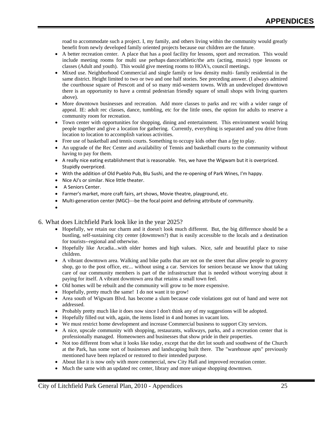road to accommodate such a project. I, my family, and others living within the community would greatly benefit from newly developed family oriented projects because our children are the future.

- A better recreation center. A place that has a pool facility for lessons, sport and recreation. This would include meeting rooms for multi use perhaps dance/athletic/the arts (acting, music) type lessons or classes (Adult and youth). This would give meeting rooms to HOA's, council meetings.
- Mixed use. Neighborhood Commercial and single family or low density multi- family residential in the same district. Height limited to two or two and one half stories. See preceding answer. (I always admired the courthouse square of Prescott and of so many mid-western towns. With an undeveloped downtown there is an opportunity to have a central pedestrian friendly square of small shops with living quarters above).
- More downtown businesses and recreation. Add more classes to parks and rec with a wider range of appeal. IE: adult rec classes, dance, tumbling, etc for the little ones, the option for adults to reserve a community room for recreation.
- Town center with opportunities for shopping, dining and entertainment. This environment would bring people together and give a location for gathering. Currently, everything is separated and you drive from location to location to accomplish various activities.
- Free use of basketball and tennis courts. Something to occupy kids other than a fee to play.
- An upgrade of the Rec Center and availability of Tennis and basketball courts to the community without having to pay for them.
- A really nice eating establishment that is reasonable. Yes, we have the Wigwam but it is overpriced. Stupidly overpriced.
- With the addition of Old Pueblo Pub, Blu Sushi, and the re‐opening of Park Wines, I'm happy.
- Nice AJ's or similar. Nice little theater.
- A Seniors Center.
- Farmer's market, more craft fairs, art shows, Movie theatre, playground, etc.
- Multi-generation center (MGC)---be the focal point and defining attribute of community.
- •

#### 6. What does Litchfield Park look like in the year 2025?

- Hopefully, we retain our charm and it doesn't look much different. But, the big difference should be a bustling, self-sustaining city center (downtown?) that is easily accessible to the locals and a destination for tourists--regional and otherwise.
- Hopefully like Arcadia...with older homes and high values. Nice, safe and beautiful place to raise children.
- A vibrant downtown area. Walking and bike paths that are not on the street that allow people to grocery shop, go to the post office, etc... without using a car. Services for seniors because we know that taking care of our community members is part of the infrastructure that is needed without worrying about it paying for itself. A vibrant downtown area that retains a small town feel.
- Old homes will be rebuilt and the community will grow to be more expensive.
- Hopefully, pretty much the same! I do not want it to grow!
- Area south of Wigwam Blvd. has become a slum because code violations got out of hand and were not addressed.
- Probably pretty much like it does now since I don't think any of my suggestions will be adopted.
- Hopefully filled out with, again, the items listed in 4 and homes in vacant lots.
- We must restrict home development and increase Commercial business to support City services.
- A nice, upscale community with shopping, restaurants, walkways, parks, and a recreation center that is professionally managed. Homeowners and businesses that show pride in their properties.
- Not too different from what it looks like today, except that the dirt lot south and southwest of the Church at the Park, has some sort of businesses and landscaping built there. The "warehouse apts" previously mentioned have been replaced or restored to their intended purpose.
- About like it is now only with more commercial, new City Hall and improved recreation center.
- Much the same with an updated rec center, library and more unique shopping downtown.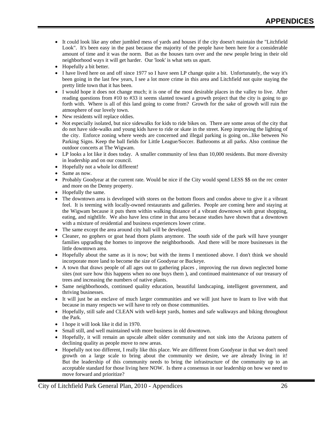- It could look like any other jumbled mess of yards and houses if the city doesn't maintain the "Litchfield Look". It's been easy in the past because the majority of the people have been here for a considerable amount of time and it was the norm. But as the houses turn over and the new people bring in their old neighborhood ways it will get harder. Our 'look' is what sets us apart.
- Hopefully a bit better.
- I have lived here on and off since 1977 so I have seen LP change quite a bit. Unfortunately, the way it's been going in the last few years, I see a lot more crime in this area and Litchfield not quite staying the pretty little town that it has been.
- I would hope it does not change much; it is one of the most desirable places in the valley to live. After reading questions from #10 to #33 it seems slanted toward a growth project that the city is going to go forth with. Where is all of this land going to come from? Growth for the sake of growth will ruin the atmosphere of our lovely town.
- New residents will replace oldies.
- Not especially isolated, but nice sidewalks for kids to ride bikes on. There are some areas of the city that do not have side-walks and young kids have to ride or skate in the street. Keep improving the lighting of the city. Enforce zoning where weeds are concerned and illegal parking is going on...like between No Parking Signs. Keep the ball fields for Little League/Soccer. Bathrooms at all parks. Also continue the outdoor concerts at The Wigwam.
- LP looks a lot like it does today. A smaller community of less than 10,000 residents. But more diversity in leadership and on our council.
- Hopefully not a whole lot different!
- Same as now.
- Probably Goodyear at the current rate. Would be nice if the City would spend LESS \$\$ on the rec center and more on the Denny property.
- Hopefully the same.
- The downtown area is developed with stores on the bottom floors and condos above to give it a vibrant feel. It is teeming with locally-owned restaurants and galleries. People are coming here and staying at the Wigwam because it puts them within walking distance of a vibrant downtown with great shopping, eating, and nightlife. We also have less crime in that area because studies have shown that a downtown with a mixture of residential and business experiences lower crime.
- The same except the area around city hall will be developed.
- Cleaner, no gophers or goat head thorn plants anymore. The south side of the park will have younger families upgrading the homes to improve the neighborhoods. And there will be more businesses in the little downtown area.
- Hopefully about the same as it is now; but with the items I mentioned above. I don't think we should incorporate more land to become the size of Goodyear or Buckeye.
- A town that draws people of all ages out to gathering places , improving the run down neglected home sites (not sure how this happens when no one buys them ), and continued maintenance of our treasury of trees and increasing the numbers of native plants.
- Same neighborhoods, continued quality education, beautiful landscaping, intelligent government, and thriving businesses.
- It will just be an enclave of much larger communities and we will just have to learn to live with that because in many respects we will have to rely on those communities.
- Hopefully, still safe and CLEAN with well-kept yards, homes and safe walkways and biking throughout the Park.
- I hope it will look like it did in 1970.
- Small still, and well maintained with more business in old downtown.
- Hopefully, it will remain an upscale albeit older community and not sink into the Arizona pattern of declining quality as people move to new areas.
- Hopefully not too different, I really like this place. We are different from Goodyear in that we don't need growth on a large scale to bring about the community we desire, we are already living in it! But the leadership of this community needs to bring the infrastructure of the community up to an acceptable standard for those living here NOW. Is there a consensus in our leadership on how we need to move forward and prioritize?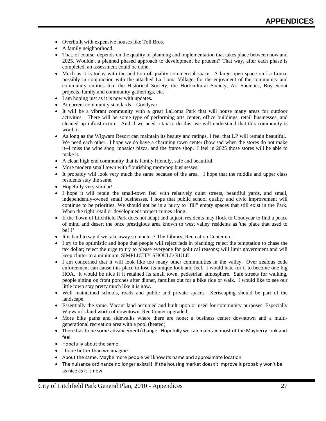- Overbuilt with expensive houses like Toll Bros.
- A family neighborhood.
- That, of course, depends on the quality of planning and implementation that takes place between now and 2025. Wouldn't a planned phased approach to development be prudent? That way, after each phase is completed, an assessment could be done.
- Much as it is today with the addition of quality commercial space. A large open space on La Loma, possibly in conjunction with the attached La Loma Village, for the enjoyment of the community and community entities like the Historical Society, the Horticultural Society, Art Societies, Boy Scout projects, family and community gatherings, etc.
- I am hoping just as it is now with updates.
- At current community standards Goodyear
- It will be a vibrant community with a great LaLoma Park that will house many areas for outdoor activities. There will be some type of performing arts center, office buildings, retail businesses, and cleaned up infrastructure. And if we need a tax to do this, we will understand that this community is worth it.
- As long as the Wigwam Resort can maintain its beauty and ratings, I feel that LP will remain beautiful. We need each other. I hope we do have a charming town center (how sad when the stores do not make it--I miss the wine shop, mosaics pizza, and the frame shop. I feel in 2025 those stores will be able to make it.
- A clean high end community that is family friendly, safe and beautiful.
- More modern small town with flourishing mom/pop businesses.
- It probably will look very much the same because of the area. I hope that the middle and upper class residents stay the same.
- Hopefully very similar!
- I hope it will retain the small-town feel with relatively quiet streets, beautiful yards, and small, independently-owned small businesses. I hope that public school quality and civic improvement will continue to be priorities. We should not be in a hurry to "fill" empty spaces that still exist in the Park. When the right retail or development project comes along.
- If the Town of Litchfield Park does not adapt and adjust, residents may flock to Goodyear to find a peace of mind and desert the once prestigious area known to west valley residents as 'the place that used to be!!!'
- It is hard to say if we take away so much...? The Library, Recreation Center etc.
- I try to be optimistic and hope that people will reject fads in planning; reject the temptation to chase the tax dollar; reject the urge to try to please everyone for political reasons; will limit government and will keep clutter to a minimum. SIMPLICITY SHOULD RULE!
- I am concerned that it will look like too many other communities in the valley. Over zealous code enforcement can cause this place to lose its unique look and feel. I would hate for it to become one big HOA. It would be nice if it retained its small town, pedestrian atmosphere. Safe streets for walking, people sitting on front porches after dinner, families out for a bike ride or walk. I would like to see our little town stay pretty much like it is now.
- Well maintained schools, roads and public and private spaces. Xeriscaping should be part of the landscape.
- Essentially the same. Vacant land occupied and built upon or used for community purposes. Especially Wigwam's land worth of downtown. Rec Center upgraded!
- More bike paths and sidewalks where there are none; a business center downtown and a multigenerational recreation area with a pool (heated).
- There has to be some advancement/change. Hopefully we can maintain most of the Mayberry look and feel.
- Hopefully about the same.
- I hope better than we imagine.
- About the same. Maybe more people will know its name and approximate location.
- The nuisance ordinance no longer exists!! If the housing market doesn't improve it probably won't be as nice as it is now.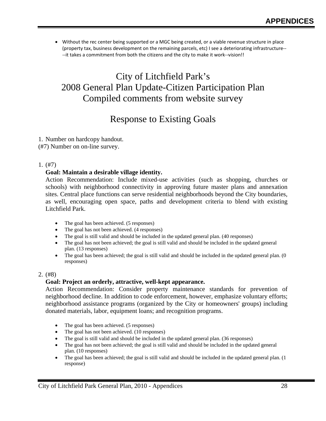• Without the rec center being supported or a MGC being created, or a viable revenue structure in place (property tax, business development on the remaining parcels, etc) I see a deteriorating infrastructure‐‐ ‐‐it takes a commitment from both the citizens and the city to make it work‐‐vision!!

## City of Litchfield Park's 2008 General Plan Update-Citizen Participation Plan Compiled comments from website survey

## Response to Existing Goals

1. Number on hardcopy handout. (#7) Number on on-line survey.

#### 1. (#7)

#### **Goal: Maintain a desirable village identity.**

Action Recommendation: Include mixed-use activities (such as shopping, churches or schools) with neighborhood connectivity in approving future master plans and annexation sites. Central place functions can serve residential neighborhoods beyond the City boundaries, as well, encouraging open space, paths and development criteria to blend with existing Litchfield Park.

- The goal has been achieved. (5 responses)
- The goal has not been achieved. (4 responses)
- The goal is still valid and should be included in the updated general plan. (40 responses)
- The goal has not been achieved; the goal is still valid and should be included in the updated general plan. (13 responses)
- The goal has been achieved; the goal is still valid and should be included in the updated general plan. (0) responses)

#### 2. (#8)

#### **Goal: Project an orderly, attractive, well-kept appearance.**

Action Recommendation: Consider property maintenance standards for prevention of neighborhood decline. In addition to code enforcement, however, emphasize voluntary efforts; neighborhood assistance programs (organized by the City or homeowners' groups) including donated materials, labor, equipment loans; and recognition programs.

- The goal has been achieved. (5 responses)
- The goal has not been achieved. (10 responses)
- The goal is still valid and should be included in the updated general plan. (36 responses)
- The goal has not been achieved; the goal is still valid and should be included in the updated general plan. (10 responses)
- The goal has been achieved; the goal is still valid and should be included in the updated general plan. (1 response)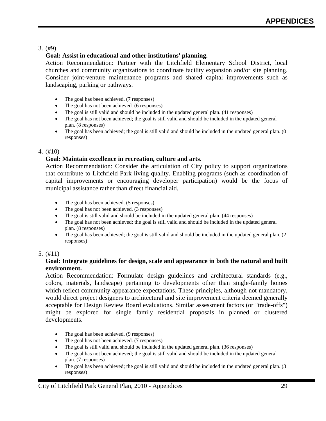## 3. (#9)

## **Goal: Assist in educational and other institutions' planning.**

Action Recommendation: Partner with the Litchfield Elementary School District, local churches and community organizations to coordinate facility expansion and/or site planning. Consider joint-venture maintenance programs and shared capital improvements such as landscaping, parking or pathways.

- The goal has been achieved. (7 responses)
- The goal has not been achieved. (6 responses)
- The goal is still valid and should be included in the updated general plan. (41 responses)
- The goal has not been achieved; the goal is still valid and should be included in the updated general plan. (8 responses)
- The goal has been achieved; the goal is still valid and should be included in the updated general plan. (0 responses)

#### 4. (#10)

## **Goal: Maintain excellence in recreation, culture and arts.**

Action Recommendation: Consider the articulation of City policy to support organizations that contribute to Litchfield Park living quality. Enabling programs (such as coordination of capital improvements or encouraging developer participation) would be the focus of municipal assistance rather than direct financial aid.

- The goal has been achieved. (5 responses)
- The goal has not been achieved. (3 responses)
- The goal is still valid and should be included in the updated general plan. (44 responses)
- The goal has not been achieved; the goal is still valid and should be included in the updated general plan. (8 responses)
- The goal has been achieved; the goal is still valid and should be included in the updated general plan. (2) responses)

## 5. (#11)

#### **Goal: Integrate guidelines for design, scale and appearance in both the natural and built environment.**

Action Recommendation: Formulate design guidelines and architectural standards (e.g., colors, materials, landscape) pertaining to developments other than single-family homes which reflect community appearance expectations. These principles, although not mandatory, would direct project designers to architectural and site improvement criteria deemed generally acceptable for Design Review Board evaluations. Similar assessment factors (or "trade-offs") might be explored for single family residential proposals in planned or clustered developments.

- The goal has been achieved. (9 responses)
- The goal has not been achieved. (7 responses)
- The goal is still valid and should be included in the updated general plan. (36 responses)
- The goal has not been achieved; the goal is still valid and should be included in the updated general plan. (7 responses)
- The goal has been achieved; the goal is still valid and should be included in the updated general plan. (3) responses)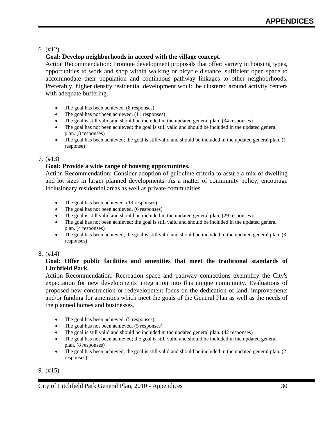## 6. (#12)

## **Goal: Develop neighborhoods in accord with the village concept.**

Action Recommendation: Promote development proposals that offer: variety in housing types, opportunities to work and shop within walking or bicycle distance, sufficient open space to accommodate their population and continuous pathway linkages to other neighborhoods. Preferably, higher density residential development would be clustered around activity centers with adequate buffering.

- The goal has been achieved. (8 responses)
- The goal has not been achieved. (11 responses)
- The goal is still valid and should be included in the updated general plan. (34 responses)
- The goal has not been achieved; the goal is still valid and should be included in the updated general plan. (8 responses)
- The goal has been achieved; the goal is still valid and should be included in the updated general plan. (1) response)

## 7. (#13)

## **Goal: Provide a wide range of housing opportunities.**

Action Recommendation: Consider adoption of guideline criteria to assure a mix of dwelling and lot sizes in larger planned developments. As a matter of community policy, encourage inclusionary residential areas as well as private communities.

- The goal has been achieved. (19 responses)
- The goal has not been achieved. (6 responses)
- The goal is still valid and should be included in the updated general plan. (29 responses)
- The goal has not been achieved; the goal is still valid and should be included in the updated general plan. (4 responses)
- The goal has been achieved; the goal is still valid and should be included in the updated general plan. (3) responses)

## 8. (#14)

## **Goal: Offer public facilities and amenities that meet the traditional standards of Litchfield Park.**

Action Recommendation: Recreation space and pathway connections exemplify the City's expectation for new developments' integration into this unique community. Evaluations of proposed new construction or redevelopment focus on the dedication of land, improvements and/or funding for amenities which meet the goals of the General Plan as well as the needs of the planned homes and businesses.

- The goal has been achieved. (5 responses)
- The goal has not been achieved. (5 responses)
- The goal is still valid and should be included in the updated general plan. (42 responses)
- The goal has not been achieved; the goal is still valid and should be included in the updated general plan. (8 responses)
- The goal has been achieved; the goal is still valid and should be included in the updated general plan. (2) responses)

## 9. (#15)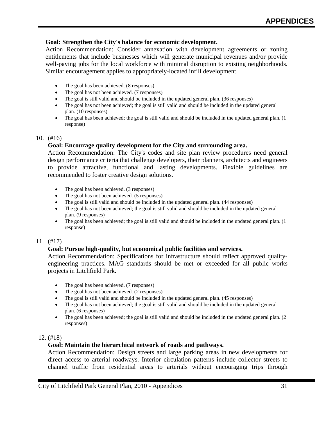#### **Goal: Strengthen the City's balance for economic development.**

Action Recommendation: Consider annexation with development agreements or zoning entitlements that include businesses which will generate municipal revenues and/or provide well-paying jobs for the local workforce with minimal disruption to existing neighborhoods. Similar encouragement applies to appropriately-located infill development.

- The goal has been achieved. (8 responses)
- The goal has not been achieved. (7 responses)
- The goal is still valid and should be included in the updated general plan. (36 responses)
- The goal has not been achieved; the goal is still valid and should be included in the updated general plan. (10 responses)
- The goal has been achieved; the goal is still valid and should be included in the updated general plan. (1 response)

#### 10. (#16)

#### **Goal: Encourage quality development for the City and surrounding area.**

Action Recommendation: The City's codes and site plan review procedures need general design performance criteria that challenge developers, their planners, architects and engineers to provide attractive, functional and lasting developments. Flexible guidelines are recommended to foster creative design solutions.

- The goal has been achieved. (3 responses)
- The goal has not been achieved. (5 responses)
- The goal is still valid and should be included in the updated general plan. (44 responses)
- The goal has not been achieved; the goal is still valid and should be included in the updated general plan. (9 responses)
- The goal has been achieved; the goal is still valid and should be included in the updated general plan. (1) response)

#### 11. (#17)

#### **Goal: Pursue high-quality, but economical public facilities and services.**

Action Recommendation: Specifications for infrastructure should reflect approved qualityengineering practices. MAG standards should be met or exceeded for all public works projects in Litchfield Park.

- The goal has been achieved. (7 responses)
- The goal has not been achieved. (2 responses)
- The goal is still valid and should be included in the updated general plan. (45 responses)
- The goal has not been achieved; the goal is still valid and should be included in the updated general plan. (6 responses)
- The goal has been achieved; the goal is still valid and should be included in the updated general plan. (2) responses)

#### 12. (#18)

#### **Goal: Maintain the hierarchical network of roads and pathways.**

Action Recommendation: Design streets and large parking areas in new developments for direct access to arterial roadways. Interior circulation patterns include collector streets to channel traffic from residential areas to arterials without encouraging trips through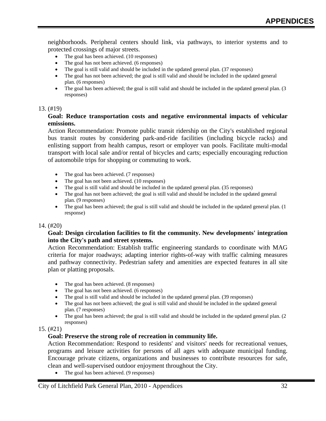neighborhoods. Peripheral centers should link, via pathways, to interior systems and to protected crossings of major streets.

- The goal has been achieved. (10 responses)
- The goal has not been achieved. (6 responses)
- The goal is still valid and should be included in the updated general plan. (37 responses)
- The goal has not been achieved; the goal is still valid and should be included in the updated general plan. (6 responses)
- The goal has been achieved; the goal is still valid and should be included in the updated general plan. (3 responses)

#### 13. (#19)

#### **Goal: Reduce transportation costs and negative environmental impacts of vehicular emissions.**

Action Recommendation: Promote public transit ridership on the City's established regional bus transit routes by considering park-and-ride facilities (including bicycle racks) and enlisting support from health campus, resort or employer van pools. Facilitate multi-modal transport with local sale and/or rental of bicycles and carts; especially encouraging reduction of automobile trips for shopping or commuting to work.

- The goal has been achieved. (7 responses)
- The goal has not been achieved. (10 responses)
- The goal is still valid and should be included in the updated general plan. (35 responses)
- The goal has not been achieved; the goal is still valid and should be included in the updated general plan. (9 responses)
- The goal has been achieved; the goal is still valid and should be included in the updated general plan. (1 response)

#### 14. (#20)

#### **Goal: Design circulation facilities to fit the community. New developments' integration into the City's path and street systems.**

Action Recommendation: Establish traffic engineering standards to coordinate with MAG criteria for major roadways; adapting interior rights-of-way with traffic calming measures and pathway connectivity. Pedestrian safety and amenities are expected features in all site plan or platting proposals.

- The goal has been achieved. (8 responses)
- The goal has not been achieved. (6 responses)
- The goal is still valid and should be included in the updated general plan. (39 responses)
- The goal has not been achieved; the goal is still valid and should be included in the updated general plan. (7 responses)
- The goal has been achieved; the goal is still valid and should be included in the updated general plan. (2 responses)

#### 15. (#21)

#### **Goal: Preserve the strong role of recreation in community life.**

Action Recommendation: Respond to residents' and visitors' needs for recreational venues, programs and leisure activities for persons of all ages with adequate municipal funding. Encourage private citizens, organizations and businesses to contribute resources for safe, clean and well-supervised outdoor enjoyment throughout the City.

• The goal has been achieved. (9 responses)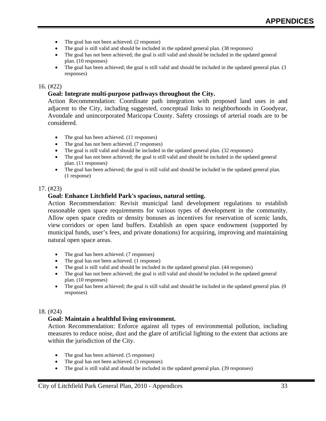- The goal has not been achieved. (2 response)
- The goal is still valid and should be included in the updated general plan. (38 responses)
- The goal has not been achieved; the goal is still valid and should be included in the updated general plan. (10 responses)
- The goal has been achieved; the goal is still valid and should be included in the updated general plan. (3 responses)

#### 16. (#22)

#### **Goal: Integrate multi-purpose pathways throughout the City.**

Action Recommendation: Coordinate path integration with proposed land uses in and adjacent to the City, including suggested, conceptual links to neighborhoods in Goodyear, Avondale and unincorporated Maricopa County. Safety crossings of arterial roads are to be considered.

- The goal has been achieved. (11 responses)
- The goal has not been achieved. (7 responses)
- The goal is still valid and should be included in the updated general plan. (32 responses)
- The goal has not been achieved; the goal is still valid and should be included in the updated general plan. (11 responses)
- The goal has been achieved; the goal is still valid and should be included in the updated general plan. (1 response)

#### 17. (#23)

#### **Goal: Enhance Litchfield Park's spacious, natural setting.**

Action Recommendation: Revisit municipal land development regulations to establish reasonable open space requirements for various types of development in the community. Allow open space credits or density bonuses as incentives for reservation of scenic lands, view corridors or open land buffers. Establish an open space endowment (supported by municipal funds, user's fees, and private donations) for acquiring, improving and maintaining natural open space areas.

- The goal has been achieved. (7 responses)
- The goal has not been achieved. (1 response)
- The goal is still valid and should be included in the updated general plan. (44 responses)
- The goal has not been achieved; the goal is still valid and should be included in the updated general plan. (10 responses)
- The goal has been achieved; the goal is still valid and should be included in the updated general plan. (0 responses)

#### 18. (#24)

#### **Goal: Maintain a healthful living environment.**

Action Recommendation: Enforce against all types of environmental pollution, including measures to reduce noise, dust and the glare of artificial lighting to the extent that actions are within the jurisdiction of the City.

- The goal has been achieved. (5 responses)
- The goal has not been achieved. (3 responses)
- The goal is still valid and should be included in the updated general plan. (39 responses)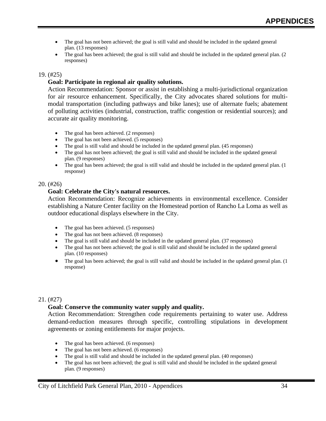- The goal has not been achieved; the goal is still valid and should be included in the updated general plan. (13 responses)
- The goal has been achieved; the goal is still valid and should be included in the updated general plan. (2 responses)

#### 19. (#25)

## **Goal: Participate in regional air quality solutions.**

Action Recommendation: Sponsor or assist in establishing a multi-jurisdictional organization for air resource enhancement. Specifically, the City advocates shared solutions for multimodal transportation (including pathways and bike lanes); use of alternate fuels; abatement of polluting activities (industrial, construction, traffic congestion or residential sources); and accurate air quality monitoring.

- The goal has been achieved. (2 responses)
- The goal has not been achieved. (5 responses)
- The goal is still valid and should be included in the updated general plan. (45 responses)
- The goal has not been achieved; the goal is still valid and should be included in the updated general plan. (9 responses)
- The goal has been achieved; the goal is still valid and should be included in the updated general plan. (1) response)

#### 20. (#26)

#### **Goal: Celebrate the City's natural resources.**

Action Recommendation: Recognize achievements in environmental excellence. Consider establishing a Nature Center facility on the Homestead portion of Rancho La Loma as well as outdoor educational displays elsewhere in the City.

- The goal has been achieved. (5 responses)
- The goal has not been achieved. (8 responses)
- The goal is still valid and should be included in the updated general plan. (37 responses)
- The goal has not been achieved; the goal is still valid and should be included in the updated general plan. (10 responses)
- The goal has been achieved; the goal is still valid and should be included in the updated general plan. (1) response)

#### 21. (#27)

#### **Goal: Conserve the community water supply and quality.**

Action Recommendation: Strengthen code requirements pertaining to water use. Address demand-reduction measures through specific, controlling stipulations in development agreements or zoning entitlements for major projects.

- The goal has been achieved. (6 responses)
- The goal has not been achieved. (6 responses)
- The goal is still valid and should be included in the updated general plan. (40 responses)
- The goal has not been achieved; the goal is still valid and should be included in the updated general plan. (9 responses)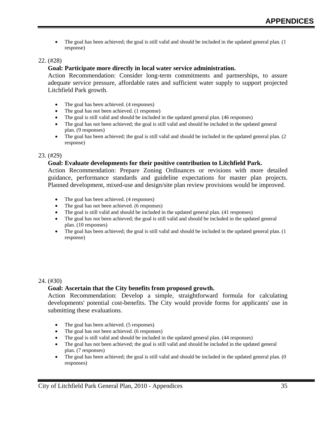• The goal has been achieved; the goal is still valid and should be included in the updated general plan. (1) response)

## 22. (#28)

## **Goal: Participate more directly in local water service administration.**

Action Recommendation: Consider long-term commitments and partnerships, to assure adequate service pressure, affordable rates and sufficient water supply to support projected Litchfield Park growth.

- The goal has been achieved. (4 responses)
- The goal has not been achieved. (1 response)
- The goal is still valid and should be included in the updated general plan. (46 responses)
- The goal has not been achieved; the goal is still valid and should be included in the updated general plan. (9 responses)
- The goal has been achieved; the goal is still valid and should be included in the updated general plan. (2) response)

#### 23. (#29)

#### **Goal: Evaluate developments for their positive contribution to Litchfield Park.**

Action Recommendation: Prepare Zoning Ordinances or revisions with more detailed guidance, performance standards and guideline expectations for master plan projects. Planned development, mixed-use and design/site plan review provisions would be improved.

- The goal has been achieved. (4 responses)
- The goal has not been achieved. (6 responses)
- The goal is still valid and should be included in the updated general plan. (41 responses)
- The goal has not been achieved; the goal is still valid and should be included in the updated general plan. (10 responses)
- The goal has been achieved; the goal is still valid and should be included in the updated general plan. (1 response)

#### 24. (#30)

#### **Goal: Ascertain that the City benefits from proposed growth.**

Action Recommendation: Develop a simple, straightforward formula for calculating developments' potential cost-benefits. The City would provide forms for applicants' use in submitting these evaluations.

- The goal has been achieved. (5 responses)
- The goal has not been achieved. (6 responses)
- The goal is still valid and should be included in the updated general plan. (44 responses)
- The goal has not been achieved; the goal is still valid and should be included in the updated general plan. (7 responses)
- The goal has been achieved; the goal is still valid and should be included in the updated general plan. (0 responses)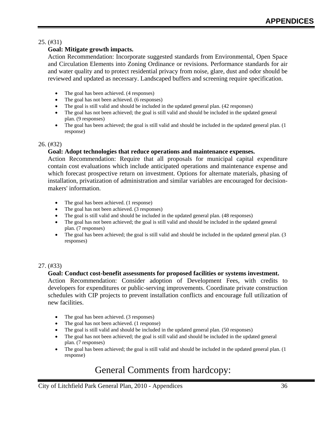## 25. (#31)

## **Goal: Mitigate growth impacts.**

Action Recommendation: Incorporate suggested standards from Environmental, Open Space and Circulation Elements into Zoning Ordinance or revisions. Performance standards for air and water quality and to protect residential privacy from noise, glare, dust and odor should be reviewed and updated as necessary. Landscaped buffers and screening require specification.

- The goal has been achieved. (4 responses)
- The goal has not been achieved. (6 responses)
- The goal is still valid and should be included in the updated general plan. (42 responses)
- The goal has not been achieved; the goal is still valid and should be included in the updated general plan. (9 responses)
- The goal has been achieved; the goal is still valid and should be included in the updated general plan. (1 response)

#### 26. (#32)

#### **Goal: Adopt technologies that reduce operations and maintenance expenses.**

Action Recommendation: Require that all proposals for municipal capital expenditure contain cost evaluations which include anticipated operations and maintenance expense and which forecast prospective return on investment. Options for alternate materials, phasing of installation, privatization of administration and similar variables are encouraged for decisionmakers' information.

- The goal has been achieved. (1 response)
- The goal has not been achieved. (3 responses)
- The goal is still valid and should be included in the updated general plan. (48 responses)
- The goal has not been achieved; the goal is still valid and should be included in the updated general plan. (7 responses)
- The goal has been achieved; the goal is still valid and should be included in the updated general plan. (3) responses)

#### 27. (#33)

#### **Goal: Conduct cost-benefit assessments for proposed facilities or systems investment.**

Action Recommendation: Consider adoption of Development Fees, with credits to developers for expenditures or public-serving improvements. Coordinate private construction schedules with CIP projects to prevent installation conflicts and encourage full utilization of new facilities.

- The goal has been achieved. (3 responses)
- The goal has not been achieved. (1 response)
- The goal is still valid and should be included in the updated general plan. (50 responses)
- The goal has not been achieved; the goal is still valid and should be included in the updated general plan. (7 responses)
- The goal has been achieved; the goal is still valid and should be included in the updated general plan. (1 response)

## General Comments from hardcopy: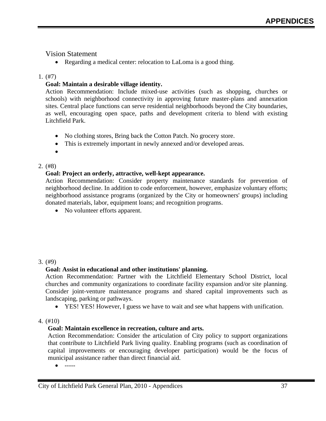## Vision Statement

• Regarding a medical center: relocation to LaLoma is a good thing.

## 1. (#7)

## **Goal: Maintain a desirable village identity.**

Action Recommendation: Include mixed-use activities (such as shopping, churches or schools) with neighborhood connectivity in approving future master-plans and annexation sites. Central place functions can serve residential neighborhoods beyond the City boundaries, as well, encouraging open space, paths and development criteria to blend with existing Litchfield Park.

- No clothing stores, Bring back the Cotton Patch. No grocery store.
- This is extremely important in newly annexed and/or developed areas.
- •

## 2. (#8)

## **Goal: Project an orderly, attractive, well-kept appearance.**

Action Recommendation: Consider property maintenance standards for prevention of neighborhood decline. In addition to code enforcement, however, emphasize voluntary efforts; neighborhood assistance programs (organized by the City or homeowners' groups) including donated materials, labor, equipment loans; and recognition programs.

• No volunteer efforts apparent.

## 3. (#9)

## **Goal: Assist in educational and other institutions' planning.**

Action Recommendation: Partner with the Litchfield Elementary School District, local churches and community organizations to coordinate facility expansion and/or site planning. Consider joint-venture maintenance programs and shared capital improvements such as landscaping, parking or pathways.

• YES! YES! However, I guess we have to wait and see what happens with unification.

## 4. (#10)

## **Goal: Maintain excellence in recreation, culture and arts.**

Action Recommendation: Consider the articulation of City policy to support organizations that contribute to Litchfield Park living quality. Enabling programs (such as coordination of capital improvements or encouraging developer participation) would be the focus of municipal assistance rather than direct financial aid.

• -----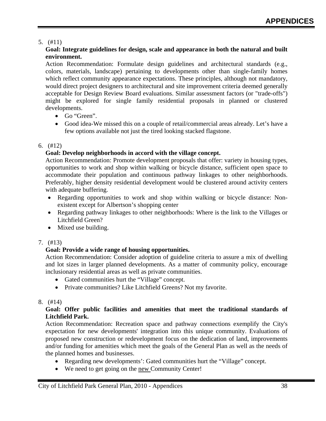## 5. (#11)

## **Goal: Integrate guidelines for design, scale and appearance in both the natural and built environment.**

Action Recommendation: Formulate design guidelines and architectural standards (e.g., colors, materials, landscape) pertaining to developments other than single-family homes which reflect community appearance expectations. These principles, although not mandatory, would direct project designers to architectural and site improvement criteria deemed generally acceptable for Design Review Board evaluations. Similar assessment factors (or "trade-offs") might be explored for single family residential proposals in planned or clustered developments.

- Go "Green".
- Good idea-We missed this on a couple of retail/commercial areas already. Let's have a few options available not just the tired looking stacked flagstone.

## 6. (#12)

## **Goal: Develop neighborhoods in accord with the village concept.**

Action Recommendation: Promote development proposals that offer: variety in housing types, opportunities to work and shop within walking or bicycle distance, sufficient open space to accommodate their population and continuous pathway linkages to other neighborhoods. Preferably, higher density residential development would be clustered around activity centers with adequate buffering.

- Regarding opportunities to work and shop within walking or bicycle distance: Nonexistent except for Albertson's shopping center
- Regarding pathway linkages to other neighborhoods: Where is the link to the Villages or Litchfield Green?
- Mixed use building.

## 7. (#13)

## **Goal: Provide a wide range of housing opportunities.**

Action Recommendation: Consider adoption of guideline criteria to assure a mix of dwelling and lot sizes in larger planned developments. As a matter of community policy, encourage inclusionary residential areas as well as private communities.

- Gated communities hurt the "Village" concept.
- Private communities? Like Litchfield Greens? Not my favorite.

#### 8. (#14)

## **Goal: Offer public facilities and amenities that meet the traditional standards of Litchfield Park.**

Action Recommendation: Recreation space and pathway connections exemplify the City's expectation for new developments' integration into this unique community. Evaluations of proposed new construction or redevelopment focus on the dedication of land, improvements and/or funding for amenities which meet the goals of the General Plan as well as the needs of the planned homes and businesses.

- Regarding new developments': Gated communities hurt the "Village" concept.
- We need to get going on the new Community Center!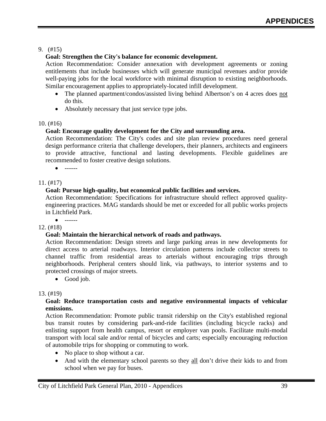## 9. (#15)

## **Goal: Strengthen the City's balance for economic development.**

Action Recommendation: Consider annexation with development agreements or zoning entitlements that include businesses which will generate municipal revenues and/or provide well-paying jobs for the local workforce with minimal disruption to existing neighborhoods. Similar encouragement applies to appropriately-located infill development.

- The planned apartment/condos/assisted living behind Albertson's on 4 acres does not do this.
- Absolutely necessary that just service type jobs.

## 10. (#16)

## **Goal: Encourage quality development for the City and surrounding area.**

Action Recommendation: The City's codes and site plan review procedures need general design performance criteria that challenge developers, their planners, architects and engineers to provide attractive, functional and lasting developments. Flexible guidelines are recommended to foster creative design solutions.

• ------

## 11. (#17)

## **Goal: Pursue high-quality, but economical public facilities and services.**

Action Recommendation: Specifications for infrastructure should reflect approved qualityengineering practices. MAG standards should be met or exceeded for all public works projects in Litchfield Park.

## 12. (#18)

## **Goal: Maintain the hierarchical network of roads and pathways.**

Action Recommendation: Design streets and large parking areas in new developments for direct access to arterial roadways. Interior circulation patterns include collector streets to channel traffic from residential areas to arterials without encouraging trips through neighborhoods. Peripheral centers should link, via pathways, to interior systems and to protected crossings of major streets.

• Good job.

## 13. (#19)

## **Goal: Reduce transportation costs and negative environmental impacts of vehicular emissions.**

Action Recommendation: Promote public transit ridership on the City's established regional bus transit routes by considering park-and-ride facilities (including bicycle racks) and enlisting support from health campus, resort or employer van pools. Facilitate multi-modal transport with local sale and/or rental of bicycles and carts; especially encouraging reduction of automobile trips for shopping or commuting to work.

- No place to shop without a car.
- And with the elementary school parents so they all don't drive their kids to and from school when we pay for buses.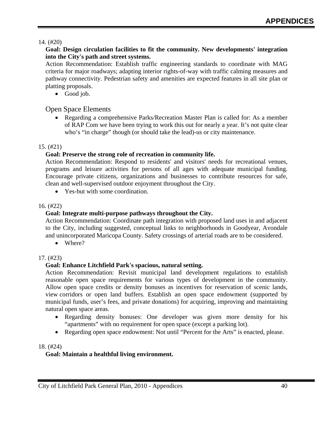## 14. (#20)

## **Goal: Design circulation facilities to fit the community. New developments' integration into the City's path and street systems.**

Action Recommendation: Establish traffic engineering standards to coordinate with MAG criteria for major roadways; adapting interior rights-of-way with traffic calming measures and pathway connectivity. Pedestrian safety and amenities are expected features in all site plan or platting proposals.

• Good job.

## Open Space Elements

• Regarding a comprehensive Parks/Recreation Master Plan is called for: As a member of RAP Com we have been trying to work this out for nearly a year. It's not quite clear who's "in charge" though (or should take the lead)-us or city maintenance.

#### 15. (#21)

## **Goal: Preserve the strong role of recreation in community life.**

Action Recommendation: Respond to residents' and visitors' needs for recreational venues, programs and leisure activities for persons of all ages with adequate municipal funding. Encourage private citizens, organizations and businesses to contribute resources for safe, clean and well-supervised outdoor enjoyment throughout the City.

• Yes-but with some coordination.

## 16. (#22)

## **Goal: Integrate multi-purpose pathways throughout the City.**

Action Recommendation: Coordinate path integration with proposed land uses in and adjacent to the City, including suggested, conceptual links to neighborhoods in Goodyear, Avondale and unincorporated Maricopa County. Safety crossings of arterial roads are to be considered.

• Where?

## 17. (#23)

## **Goal: Enhance Litchfield Park's spacious, natural setting.**

Action Recommendation: Revisit municipal land development regulations to establish reasonable open space requirements for various types of development in the community. Allow open space credits or density bonuses as incentives for reservation of scenic lands, view corridors or open land buffers. Establish an open space endowment (supported by municipal funds, user's fees, and private donations) for acquiring, improving and maintaining natural open space areas.

- Regarding density bonuses: One developer was given more density for his "apartments" with no requirement for open space (except a parking lot).
- Regarding open space endowment: Not until "Percent for the Arts" is enacted, please.

#### 18. (#24)

## **Goal: Maintain a healthful living environment.**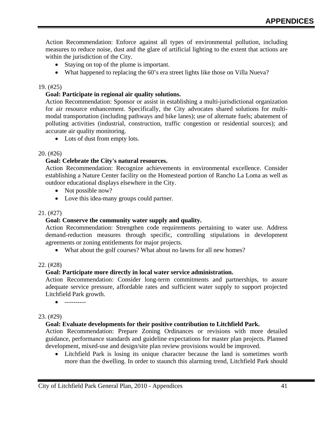Action Recommendation: Enforce against all types of environmental pollution, including measures to reduce noise, dust and the glare of artificial lighting to the extent that actions are within the jurisdiction of the City.

- Staying on top of the plume is important.
- What happened to replacing the 60's era street lights like those on Villa Nueva?

#### 19. (#25)

#### **Goal: Participate in regional air quality solutions.**

Action Recommendation: Sponsor or assist in establishing a multi-jurisdictional organization for air resource enhancement. Specifically, the City advocates shared solutions for multimodal transportation (including pathways and bike lanes); use of alternate fuels; abatement of polluting activities (industrial, construction, traffic congestion or residential sources); and accurate air quality monitoring.

• Lots of dust from empty lots.

#### 20. (#26)

#### **Goal: Celebrate the City's natural resources.**

Action Recommendation: Recognize achievements in environmental excellence. Consider establishing a Nature Center facility on the Homestead portion of Rancho La Loma as well as outdoor educational displays elsewhere in the City.

- Not possible now?
- Love this idea-many groups could partner.

#### 21. (#27)

#### **Goal: Conserve the community water supply and quality.**

Action Recommendation: Strengthen code requirements pertaining to water use. Address demand-reduction measures through specific, controlling stipulations in development agreements or zoning entitlements for major projects.

• What about the golf courses? What about no lawns for all new homes?

#### 22. (#28)

#### **Goal: Participate more directly in local water service administration.**

Action Recommendation: Consider long-term commitments and partnerships, to assure adequate service pressure, affordable rates and sufficient water supply to support projected Litchfield Park growth.

• ----------

#### 23. (#29)

#### **Goal: Evaluate developments for their positive contribution to Litchfield Park.**

Action Recommendation: Prepare Zoning Ordinances or revisions with more detailed guidance, performance standards and guideline expectations for master plan projects. Planned development, mixed-use and design/site plan review provisions would be improved.

Litchfield Park is losing its unique character because the land is sometimes worth more than the dwelling. In order to staunch this alarming trend, Litchfield Park should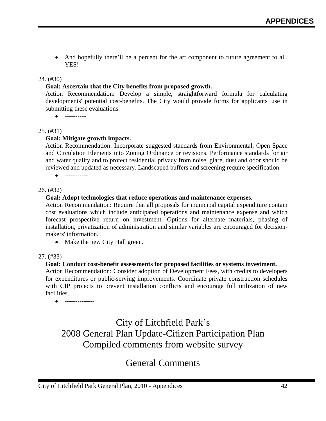And hopefully there'll be a percent for the art component to future agreement to all. YES!

## 24. (#30)

## **Goal: Ascertain that the City benefits from proposed growth.**

Action Recommendation: Develop a simple, straightforward formula for calculating developments' potential cost-benefits. The City would provide forms for applicants' use in submitting these evaluations.

• ----------

## 25. (#31)

## **Goal: Mitigate growth impacts.**

Action Recommendation: Incorporate suggested standards from Environmental, Open Space and Circulation Elements into Zoning Ordinance or revisions. Performance standards for air and water quality and to protect residential privacy from noise, glare, dust and odor should be reviewed and updated as necessary. Landscaped buffers and screening require specification.

• -----------

#### 26. (#32)

## **Goal: Adopt technologies that reduce operations and maintenance expenses.**

Action Recommendation: Require that all proposals for municipal capital expenditure contain cost evaluations which include anticipated operations and maintenance expense and which forecast prospective return on investment. Options for alternate materials, phasing of installation, privatization of administration and similar variables are encouraged for decisionmakers' information.

• Make the new City Hall green.

#### 27. (#33)

## **Goal: Conduct cost-benefit assessments for proposed facilities or systems investment.**

Action Recommendation: Consider adoption of Development Fees, with credits to developers for expenditures or public-serving improvements. Coordinate private construction schedules with CIP projects to prevent installation conflicts and encourage full utilization of new facilities.

• --------------

## City of Litchfield Park's 2008 General Plan Update-Citizen Participation Plan Compiled comments from website survey

## General Comments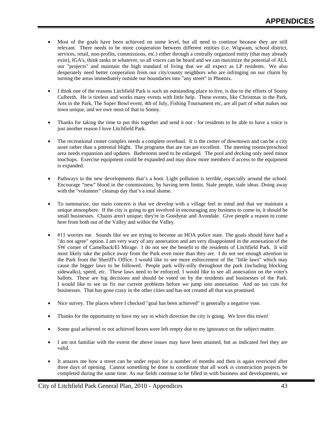- Most of the goals have been achieved on some level, but all need to continue because they are still relevant. There needs to be more cooperation between different entities (i.e. Wigwam, school district, services, retail, non-profits, commissions, etc.) either through a centrally organized entity (that may already exist), IGA's, think tanks or whatever, so all voices can be heard and we can maximize the potential of ALL our "projects" and maintain the high standard of living that we all expect as LP residents. We also desperately need better cooperation from our city/county neighbors who are infringing on our charm by turning the areas immediately outside our boundaries into "any street" in Phoenix.
- I think one of the reasons Litchfield Park is such an outstanding place to live, is due to the efforts of Sonny Culbreth. He is tireless and works many events with little help. These events, like Christmas in the Park, Arts in the Park, The Super Bowl event, 4th of July, Fishing Tournament etc, are all part of what makes our town unique, and we owe most of that to Sonny.
- Thanks for taking the time to put this together and send it out for residents to be able to have a voice is just another reason I love Litchfield Park.
- The recreational center complex needs a complete overhaul. It is the center of downtown and can be a city asset rather than a potential blight. The programs that are run are excellent. The meeting rooms/preschool area needs expansion and updates. Bathrooms need to be enlarged. The pool and decking only need minor touchups. Exercise equipment could be expanded and may draw more members if access to the equipment is expanded.
- Pathways in the new developments that's a hoot. Light pollution is terrible, especially around the school. Encourage "new" blood in the commissions, by having term limits. Stale people, stale ideas. Doing away with the "volunteer" cleanup day that's a total shame.
- To summarize, our main concern is that we develop with a village feel in mind and that we maintain a unique atmosphere. If the city is going to get involved in encouraging any business to come in, it should be small businesses. Chains aren't unique; they're in Goodyear and Avondale. Give people a reason to come here from both out of the Valley and within the Valley.
- #11 worries me. Sounds like we are trying to become an HOA police state. The goals should have had a "do not agree" option. I am very wary of any annexation and am very disappointed in the annexation of the SW corner of Camelback/El Mirage. I do not see the benefit to the residents of Litchfield Park. It will most likely take the police away from the Park even more than they are. I do not see enough attention in the Park from the Sheriff's Office. I would like to see more enforcement of the "little laws" which may cause the bigger laws to be followed. People park willy-nilly throughout the park (including blocking sidewalks), speed, etc. These laws need to be enforced. I would like to see all annexation on the voter's ballots. These are big decisions and should be voted on by the residents and businesses of the Park. I would like to see us fix our current problems before we jump into annexation. And no tax cuts for businesses. That has gone crazy in the other cities and has not created all that was promised.
- Nice survey. The places where I checked "goal has been achieved" is generally a negative vote.
- Thanks for the opportunity to have my say in which direction the city is going. We love this town!
- Some goal achieved or not achieved boxes were left empty due to my ignorance on the subject matter.
- I am not familiar with the extent the above issues may have been attained, but as indicated feel they are valid.
- It amazes me how a street can be under repair for a number of months and then is again restricted after three days of opening. Cannot something be done to coordinate that all work is construction projects be completed during the same time. As our fields continue to be filled in with business and developments, we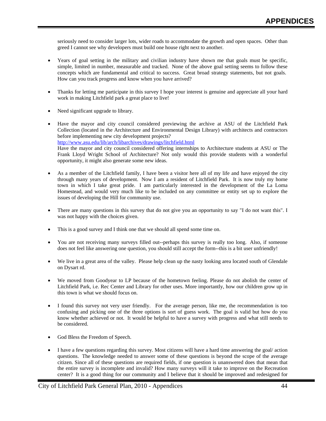seriously need to consider larger lots, wider roads to accommodate the growth and open spaces. Other than greed I cannot see why developers must build one house right next to another.

- Years of goal setting in the military and civilian industry have shown me that goals must be specific, simple, limited in number, measurable and tracked. None of the above goal setting seems to follow these concepts which are fundamental and critical to success. Great broad strategy statements, but not goals. How can you track progress and know when you have arrived?
- Thanks for letting me participate in this survey I hope your interest is genuine and appreciate all your hard work in making Litchfield park a great place to live!
- Need significant upgrade to library.
- Have the mayor and city council considered previewing the archive at ASU of the Litchfield Park Collection (located in the Architecture and Environmental Design Library) with architects and contractors before implementing new city development projects? <http://www.asu.edu/lib/arch/libarchives/drawings/litchfield.html> Have the mayor and city council considered offering internships to Architecture students at ASU or The Frank Lloyd Wright School of Architecture? Not only would this provide students with a wonderful opportunity, it might also generate some new ideas.
- As a member of the Litchfield family, I have been a visitor here all of my life and have enjoyed the city through many years of development. Now I am a resident of Litchfield Park. It is now truly my home town in which I take great pride. I am particularly interested in the development of the La Loma Homestead, and would very much like to be included on any committee or entity set up to explore the issues of developing the Hill for community use.
- There are many questions in this survey that do not give you an opportunity to say "I do not want this". I was not happy with the choices given.
- This is a good survey and I think one that we should all spend some time on.
- You are not receiving many surveys filled out--perhaps this survey is really too long. Also, if someone does not feel like answering one question, you should still accept the form--this is a bit user unfriendly!
- We live in a great area of the valley. Please help clean up the nasty looking area located south of Glendale on Dysart rd.
- We moved from Goodyear to LP because of the hometown feeling. Please do not abolish the center of Litchfield Park, i.e. Rec Center and Library for other uses. More importantly, how our children grow up in this town is what we should focus on.
- I found this survey not very user friendly. For the average person, like me, the recommendation is too confusing and picking one of the three options is sort of guess work. The goal is valid but how do you know whether achieved or not. It would be helpful to have a survey with progress and what still needs to be considered.
- God Bless the Freedom of Speech.
- I have a few questions regarding this survey. Most citizens will have a hard time answering the goal/ action questions. The knowledge needed to answer some of these questions is beyond the scope of the average citizen. Since all of these questions are required fields, if one question is unanswered does that mean that the entire survey is incomplete and invalid? How many surveys will it take to improve on the Recreation center? It is a good thing for our community and I believe that it should be improved and redesigned for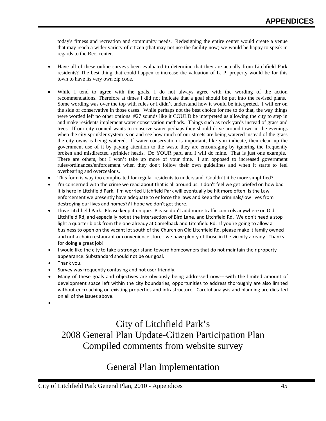today's fitness and recreation and community needs. Redesigning the entire center would create a venue that may reach a wider variety of citizen (that may not use the facility now) we would be happy to speak in regards to the Rec. center.

- Have all of these online surveys been evaluated to determine that they are actually from Litchfield Park residents? The best thing that could happen to increase the valuation of L. P. property would be for this town to have its very own zip code.
- While I tend to agree with the goals, I do not always agree with the wording of the action recommendations. Therefore at times I did not indicate that a goal should be put into the revised plans. Some wording was over the top with rules or I didn't understand how it would be interpreted. I will err on the side of conservative in those cases. While perhaps not the best choice for me to do that, the way things were worded left no other options. #27 sounds like it COULD be interpreted as allowing the city to step in and make residents implement water conservation methods. Things such as rock yards instead of grass and trees. If our city council wants to conserve water perhaps they should drive around town in the evenings when the city sprinkler system is on and see how much of our streets are being watered instead of the grass the city owns is being watered. If water conservation is important, like you indicate, then clean up the government use of it by paying attention to the waste they are encouraging by ignoring the frequently broken and misdirected sprinkler heads. Do YOUR part, and I will do mine. That is just one example. There are others, but I won't take up more of your time. I am opposed to increased government rules/ordinances/enforcement when they don't follow their own guidelines and when it starts to feel overbearing and overzealous.
- This form is way too complicated for regular residents to understand. Couldn't it be more simplified?
- I'm concerned with the crime we read about that is all around us. I don't feel we get briefed on how bad it is here in Litchfield Park. I'm worried Litchfield Park will eventually be hit more often. Is the Law enforcement we presently have adequate to enforce the laws and keep the criminals/low lives from destroying our lives and homes?? I hope we don't get there.
- I love Litchfield Park. Please keep it unique. Please don't add more traffic controls anywhere on Old Litchfield Rd, and especially not at the intersection of Bird Lane. and Litchfield Rd. We don't need a stop light a quarter block from the one already at Camelback and Litchfield Rd. If you're going to allow a business to open on the vacant lot south of the Church on Old Litchfield Rd, please make it family owned and not a chain restaurant or convenience store - we have plenty of those in the vicinity already. Thanks for doing a great job!
- I would like the city to take a stronger stand toward homeowners that do not maintain their property appearance. Substandard should not be our goal.
- Thank you.

•

- Survey was frequently confusing and not user friendly.
- Many of these goals and objectives are obviously being addressed now----with the limited amount of development space left within the city boundaries, opportunities to address thoroughly are also limited without encroaching on existing properties and infrastructure. Careful analysis and planning are dictated on all of the issues above.

City of Litchfield Park's 2008 General Plan Update-Citizen Participation Plan Compiled comments from website survey

## General Plan Implementation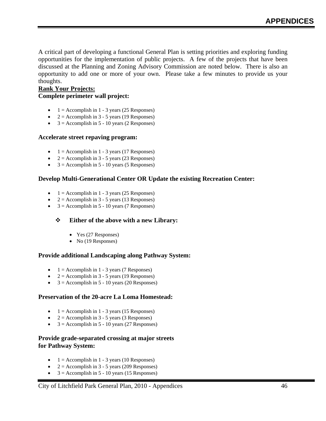A critical part of developing a functional General Plan is setting priorities and exploring funding opportunities for the implementation of public projects. A few of the projects that have been discussed at the Planning and Zoning Advisory Commission are noted below. There is also an opportunity to add one or more of your own. Please take a few minutes to provide us your thoughts.

#### **Rank Your Projects: Complete perimeter wall project:**

- $1 =$  Accomplish in 1 3 years (25 Responses)
- $2 =$  Accomplish in 3 5 years (19 Responses)
- $3 =$  Accomplish in 5 10 years (2 Responses)

#### **Accelerate street repaving program:**

- $1 =$  Accomplish in 1 3 years (17 Responses)
- $2 =$  Accomplish in 3 5 years (23 Responses)
- $3 =$  Accomplish in 5 10 years (5 Responses)

#### **Develop Multi-Generational Center OR Update the existing Recreation Center:**

- $1 =$  Accomplish in 1 3 years (25 Responses)
- $2 =$  Accomplish in 3 5 years (13 Responses)
- $3 =$  Accomplish in 5 10 years (7 Responses)

#### **Either of the above with a new Library:**

- Yes (27 Responses)
- No (19 Responses)

#### **Provide additional Landscaping along Pathway System:**

- $1 =$  Accomplish in 1 3 years (7 Responses)
- $2 =$  Accomplish in 3 5 years (19 Responses)
- $3 =$  Accomplish in 5 10 years (20 Responses)

#### **Preservation of the 20-acre La Loma Homestead:**

- $1 =$  Accomplish in 1 3 years (15 Responses)
- $2 =$  Accomplish in 3 5 years (3 Responses)
- $3 =$  Accomplish in 5 10 years (27 Responses)

#### **Provide grade-separated crossing at major streets for Pathway System:**

- $1 =$  Accomplish in 1 3 years (10 Responses)
- $2 =$  Accomplish in 3 5 years (209 Responses)
- $3 =$  Accomplish in 5 10 years (15 Responses)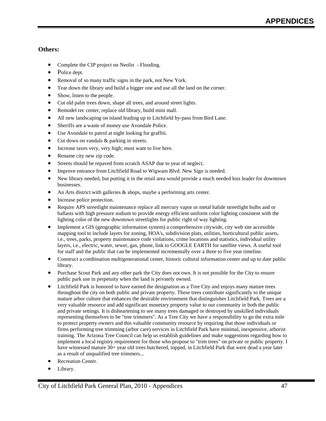#### **Others:**

- Complete the CIP project on Neolin Flooding.
- Police dept.
- Removal of so many traffic signs in the park, not New York.
- Tear down the library and build a bigger one and use all the land on the corner.
- Show, listen to the people.
- Cut old palm trees down, shape all trees, and around street lights.
- Remodel rec center, replace old library, build mini mall.
- All new landscaping on island leading up to Litchfield by-pass from Bird Lane.
- Sheriffs are a waste of money use Avondale Police.
- Use Avondale to patrol at night looking for graffiti.
- Cut down on vandals & parking in streets.
- Increase taxes very, very high; must want to live here.
- Rename city new zip code.
- Streets should be repaved from scratch ASAP due to year of neglect.
- Improve entrance from Litchfield Road to Wigwam Blvd. New Sign is needed.
- New library needed, but putting it in the retail area would provide a much needed loss leader for downtown businesses.
- An Arts district with galleries  $\&$  shops, maybe a performing arts center.
- Increase police protection.
- Require APS streetlight maintenance replace all mercury vapor or metal halide streetlight bulbs and or ballasts with high pressure sodium to provide energy efficient uniform color lighting consistent with the lighting color of the new downtown streetlights for public right of way lighting.
- Implement a GIS (geographic information system) a comprehensive citywide, city web site accessible mapping tool to include layers for zoning, HOA's, subdivision plats, utilities, horticultural public assets, i.e., trees, parks, property maintenance code violations, crime locations and statistics, individual utility layers, i.e., electric, water, sewer, gas, phone, link to GOOGLE EARTH for satellite views. A useful tool for staff and the public that can be implemented incrementally over a three to five year timeline.
- Construct a combination multigenerational center, historic cultural information center and up to date public library.
- Purchase Scout Park and any other park the City does not own. It is not possible for the City to ensure public park use in perpetuity when the land is privately owned.
- Litchfield Park is honored to have earned the designation as a Tree City and enjoys many mature trees throughout the city on both public and private property. These trees contribute significantly to the unique mature arbor culture that enhances the desirable environment that distinguishes Litchfield Park. Trees are a very valuable resource and add significant monetary property value to our community in both the public and private settings. It is disheartening to see many trees damaged or destroyed by unskilled individuals representing themselves to be "tree trimmers". As a Tree City we have a responsibility to go the extra mile to protect property owners and this valuable community resource by requiring that those individuals or firms performing tree trimming (arbor care) services in Litchfield Park have minimal, inexpensive, arborist training. The Arizona Tree Council can help us establish guidelines and make suggestions regarding how to implement a local registry requirement for those who propose to "trim trees" on private or public property. I have witnessed mature 30+ year old trees butchered, topped, in Litchfield Park that were dead a year later as a result of unqualified tree trimmers...
- Recreation Center.
- Library.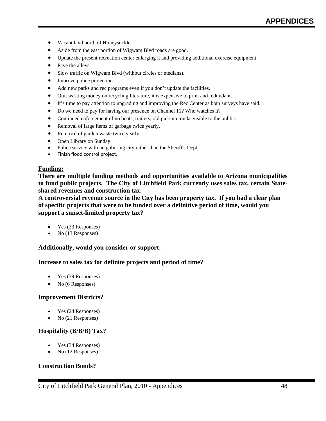- Vacant land north of Honeysuckle.
- Aside from the east portion of Wigwam Blvd roads are good.
- Update the present recreation center enlarging it and providing additional exercise equipment.
- Pave the alleys.
- Slow traffic on Wigwam Blvd (without circles or medians).
- Improve police protection.
- Add new parks and rec programs even if you don't update the facilities.
- Quit wasting money on recycling literature, it is expensive to print and redundant.
- It's time to pay attention to upgrading and improving the Rec Center as both surveys have said.
- Do we need to pay for having our presence on Channel 11? Who watches it?
- Continued enforcement of no boats, trailers, old pick-up trucks visible to the public.
- Removal of large items of garbage twice yearly.
- Removal of garden waste twice yearly.
- Open Library on Sunday.
- Police service with neighboring city rather than the Sheriff's Dept.
- Finish flood control project.

#### **Funding:**

**There are multiple funding methods and opportunities available to Arizona municipalities to fund public projects. The City of Litchfield Park currently uses sales tax, certain Stateshared revenues and construction tax.** 

**A controversial revenue source in the City has been property tax. If you had a clear plan of specific projects that were to be funded over a definitive period of time, would you support a sunset-limited property tax?** 

- Yes (33 Responses)
- No (13 Responses)

#### **Additionally, would you consider or support:**

#### **Increase to sales tax for definite projects and period of time?**

- Yes (39 Responses)
- No (6 Responses)

#### **Improvement Districts?**

- Yes (24 Responses)
- No (21 Responses)

#### **Hospitality (B/B/B) Tax?**

- Yes (34 Responses)
- No (12 Responses)

#### **Construction Bonds?**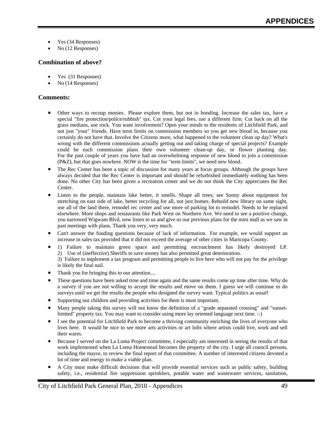- Yes (34 Responses)
- No (12 Responses)

#### **Combination of above?**

- Yes (31 Responses)
- No (14 Responses)

#### **Comments:**

- Other ways to recoup monies. Please explore them, but not in bonding. Increase the sales tax, have a special "fire protection/police/rubbish" tax. Cut your legal fees, use a different firm. Cut back on all the grass medians, use rock. You want involvement? Open your minds to the residents of Litchfield Park, and not just "your" friends. Have term limits on commission members so you get new blood in, because you certainly do not have that. Involve the Citizens more, what happened to the volunteer clean up day? What's wrong with the different commissions actually getting out and taking charge of special projects? Example could be each commission plans their own volunteer clean-up day, or flower planting day. For the past couple of years you have had an overwhelming response of new blood to join a commission (P&Z), but that goes nowhere. NOW is the time for "term limits", we need new blood.
- The Rec Center has been a topic of discussion for many years at focus groups. Although the groups have always decided that the Rec Center is important and should be refurbished immediately nothing has been done. No other City has been given a recreation center and we do not think the City appreciates the Rec Center.
- Listen to the people, maintain lake better, it smells. Shape all trees; see Sonny about equipment for stretching on east side of lake, better recycling for all, not just homes. Rebuild new library on same sight, use all of the land there, remodel rec center and use more of parking lot to remodel. Needs to be replaced elsewhere. More shops and restaurants like Park West on Northern Ave. We need to see a positive change, you narrowed Wigwam Blvd, now listen to us and give us our previous plans for the mini mall as we saw in past meetings with plans. Thank you very, very much.
- Can't answer the funding questions because of lack of information. For example, we would support an increase in sales tax provided that it did not exceed the average of other cities in Maricopa County.
- 1) Failure to maintain green space and permitting encroachment has likely destroyed LP. 2) Use of (ineffective) Sheriffs to save money has also permitted great deterioration.
	- 3) Failure to implement a tax program and permitting people to live here who will not pay for the privilege is likely the final nail.
- Thank you for bringing this to our attention....
- These questions have been asked time and time again and the same results come up time after time. Why do a survey if you are not willing to accept the results and move on them. I guess we will continue to do surveys until we get the results the people who designed the survey want. Typical politics as usual!
- Supporting our children and providing activities for them is most important.
- Many people taking this survey will not know the definition of a "grade separated crossing" and "sunsetlimited" property tax. You may want to consider using more lay oriented language next time. :-)
- I see the potential for Litchfield Park to become a thriving community enriching the lives of everyone who lives here. It would be nice to see more arts activities or art lofts where artists could live, work and sell their wares.
- Because I served on the La Loma Project committee, I especially am interested in seeing the results of that work implemented when La Loma Homestead becomes the property of the city. I urge all council persons, including the mayor, to review the final report of that committee. A number of interested citizens devoted a lot of time and energy to make a viable plan.
- A City must make difficult decisions that will provide essential services such as public safety, building safety, i.e., residential fire suppression sprinklers, potable water and wastewater services, sanitation,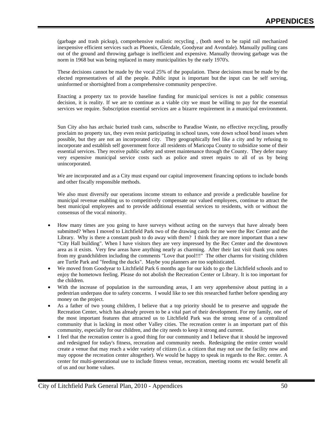(garbage and trash pickup), comprehensive realistic recycling , (both need to be rapid rail mechanized inexpensive efficient services such as Phoenix, Glendale, Goodyear and Avondale). Manually pulling cans out of the ground and throwing garbage is inefficient and expensive. Manually throwing garbage was the norm in 1968 but was being replaced in many municipalities by the early 1970's.

These decisions cannot be made by the vocal 25% of the population. These decisions must be made by the elected representatives of all the people. Public input is important but the input can be self serving, uninformed or shortsighted from a comprehensive community perspective.

Enacting a property tax to provide baseline funding for municipal services is not a public consensus decision, it is reality. If we are to continue as a viable city we must be willing to pay for the essential services we require. Subscription essential services are a bizarre requirement in a municipal environment.

Sun City also has archaic buried trash cans, subscribe to Paradise Waste, no effective recycling, proudly proclaim no property tax, they even resist participating in school taxes, vote down school bond issues when possible, but they are not an incorporated city. They geographically feel like a city and by refusing to incorporate and establish self government force all residents of Maricopa County to subsidize some of their essential services. They receive public safety and street maintenance through the County. They defer many very expensive municipal service costs such as police and street repairs to all of us by being unincorporated.

We are incorporated and as a City must expand our capital improvement financing options to include bonds and other fiscally responsible methods.

We also must diversify our operations income stream to enhance and provide a predictable baseline for municipal revenue enabling us to competitively compensate our valued employees, continue to attract the best municipal employees and to provide additional essential services to residents, with or without the consensus of the vocal minority.

- How many times are you going to have surveys without acting on the surveys that have already been submitted? When I moved to Litchfield Park two of the drawing cards for me were the Rec Center and the Library. Why is there a constant push to do away with them? I think they are more important than a new "City Hall building". When I have visitors they are very impressed by the Rec Center and the downtown area as it exists. Very few areas have anything nearly as charming. After their last visit thank you notes from my grandchildren including the comments "Love that pool!!!" The other charms for visiting children are Turtle Park and "feeding the ducks". Maybe you planners are too sophisticated.
- We moved from Goodyear to Litchfield Park 6 months ago for our kids to go the Litchfield schools and to enjoy the hometown feeling. Please do not abolish the Recreation Center or Library. It is too important for the children.
- With the increase of population in the surrounding areas, I am very apprehensive about putting in a pedestrian underpass due to safety concerns. I would like to see this researched further before spending any money on the project.
- As a father of two young children, I believe that a top priority should be to preserve and upgrade the Recreation Center, which has already proven to be a vital part of their development. For my family, one of the most important features that attracted us to Litchfield Park was the strong sense of a centralized community that is lacking in most other Valley cities. The recreation center is an important part of this community, especially for our children, and the city needs to keep it strong and current.
- I feel that the recreation center is a good thing for our community and I believe that it should be improved and redesigned for today's fitness, recreation and community needs. Redesigning the entire center would create a venue that may reach a wider variety of citizen (i.e. a citizen that may not use the facility now and may oppose the recreation center altogether). We would be happy to speak in regards to the Rec. center. A center for multi-generational use to include fitness venue, recreation, meeting rooms etc would benefit all of us and our home values.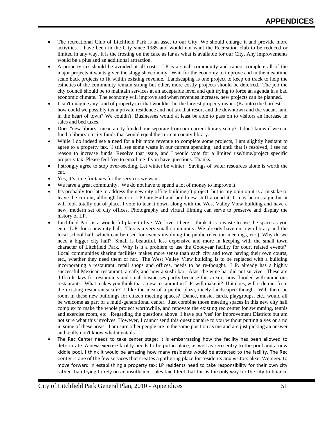- The recreational Club of Litchfield Park is an asset to our City. We should enlarge it and provide more activities. I have been in the City since 1985 and would not want the Recreation club to be reduced or limited in any way. It is the frosting on the cake as far as what is available for our City. Any improvements would be a plus and an additional attraction.
- A property tax should be avoided at all costs. LP is a small community and cannot complete all of the major projects it wants given the sluggish economy. Wait for the economy to improve and in the meantime scale back projects to fit within existing revenue. Landscaping is one project to keep on track to help the esthetics of the community remain strong but other, more costly projects should be deferred. The job the city council should be to maintain services at an acceptable level and quit trying to force an agenda in a bad economic climate. The economy will improve and when revenues increase, new projects can be planned.
- I can't imagine any kind of property tax that wouldn't hit the largest property owner (Kabuto) the hardest--- how could we possibly tax a private residence and not tax that resort and the downtown and the vacant land in the heart of town? We couldn't! Businesses would at least be able to pass on to visitors an increase in sales and bed taxes.
- Does "new library" mean a city funded one separate from our current library setup? I don't know if we can fund a library on city funds that would equal the current county library.
- While I do indeed see a need for a bit more revenue to complete some projects, I am slightly hesitant to agree to a property tax. I still see some waste in our current spending, and until that is resolved, I see no reason to increase funds. Resolve that issue, and I would vote for a limited use/time/project specific property tax. Please feel free to email me if you have questions. Thanks.
- I strongly agree to stop over-seeding. Let winter be winter. Savings of water resources alone is worth the cut.
- Yes, it's time for taxes for the services we want.
- We have a great community. We do not have to spend a lot of money to improve it.
- It's probably too late to address the new city office building(s) project, but in my opinion it is a mistake to leave the current, although historic, LP City Hall and build new stuff around it. It may be nostalgic but it will look totally out of place. I vote to tear it down along with the West Valley View building and have a new, modern set of city offices. Photography and virtual filming can serve to preserve and display the history of LP.
- Litchfield Park is a wonderful place to live. We love it here. I think it is a waste to use the space as you enter L.P. for a new city hall. This is a very small community. We already have our own library and the local school hall, which can be used for events involving the public (election meetings, etc.) Why do we need a bigger city hall? Small is beautiful, less expensive and more in keeping with the small town character of Litchfield Park. Why is it a problem to use the Goodyear facility for court related events? Local communities sharing facilities makes more sense than each city and town having their own courts, etc., whether they need them or not. The West Valley View building is to be replaced with a building incorporating a restaurant, retail shops and offices, needs to be re-thought. L.P. already has a highly successful Mexican restaurant, a cafe, and now a sushi bar. Alas, the wine bar did not survive. These are difficult days for restaurants and small businesses partly because this area is now flooded with numerous restaurants. What makes you think that a new restaurant in L.P. will make it? If it does, will it detract from the existing restaurants/cafe? I like the idea of a public plaza, nicely landscaped though. Will there be room in these new buildings for citizen meeting spaces? Dance, music, cards, playgroups, etc., would all be welcome as part of a multi-generational center. Just combine those meeting spaces in this new city hall complex to make the whole project worthwhile, and renovate the existing rec center for swimming, tennis and exercise room, etc. Regarding the questions above: I have put 'yes' for Improvement Districts but am not sure what this involves. However, I cannot send this questionnaire to you without putting a yes or a no in some of these areas. I am sure other people are in the same position as me and are just picking an answer and really don't know what it entails.
- The Rec Center needs to take center stage; it is embarrassing how the facility has been allowed to deteriorate. A new exercise facility needs to be put in place, as well as zero entry to the pool and a new kiddie pool. I think it would be amazing how many residents would be attracted to the facility. The Rec Center is one of the few services that creates a gathering place for residents and visitors alike. We need to move forward in establishing a property tax; LP residents need to take responsibility for their own city rather than trying to rely on an insufficient sales tax. I feel that this is the only way for the city to finance